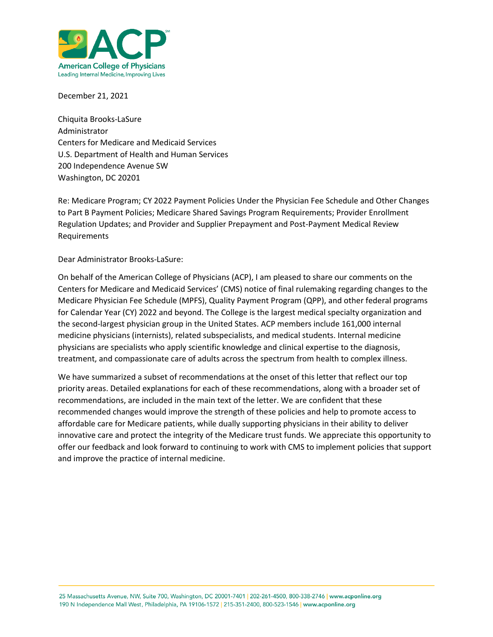

December 21, 2021

Chiquita Brooks-LaSure Administrator Centers for Medicare and Medicaid Services U.S. Department of Health and Human Services 200 Independence Avenue SW Washington, DC 20201

Re: Medicare Program; CY 2022 Payment Policies Under the Physician Fee Schedule and Other Changes to Part B Payment Policies; Medicare Shared Savings Program Requirements; Provider Enrollment Regulation Updates; and Provider and Supplier Prepayment and Post-Payment Medical Review Requirements

Dear Administrator Brooks-LaSure:

On behalf of the American College of Physicians (ACP), I am pleased to share our comments on the Centers for Medicare and Medicaid Services' (CMS) notice of final rulemaking regarding changes to the Medicare Physician Fee Schedule (MPFS), Quality Payment Program (QPP), and other federal programs for Calendar Year (CY) 2022 and beyond. The College is the largest medical specialty organization and the second-largest physician group in the United States. ACP members include 161,000 internal medicine physicians (internists), related subspecialists, and medical students. Internal medicine physicians are specialists who apply scientific knowledge and clinical expertise to the diagnosis, treatment, and compassionate care of adults across the spectrum from health to complex illness.

We have summarized a subset of recommendations at the onset of this letter that reflect our top priority areas. Detailed explanations for each of these recommendations, along with a broader set of recommendations, are included in the main text of the letter. We are confident that these recommended changes would improve the strength of these policies and help to promote access to affordable care for Medicare patients, while dually supporting physicians in their ability to deliver innovative care and protect the integrity of the Medicare trust funds. We appreciate this opportunity to offer our feedback and look forward to continuing to work with CMS to implement policies that support and improve the practice of internal medicine.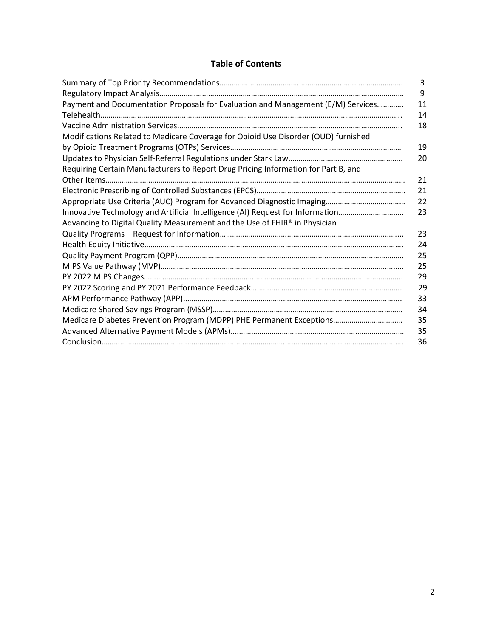# **Table of Contents**

|                                                                                    | 3  |
|------------------------------------------------------------------------------------|----|
|                                                                                    | 9  |
| Payment and Documentation Proposals for Evaluation and Management (E/M) Services   | 11 |
|                                                                                    | 14 |
|                                                                                    | 18 |
| Modifications Related to Medicare Coverage for Opioid Use Disorder (OUD) furnished |    |
|                                                                                    | 19 |
|                                                                                    | 20 |
| Requiring Certain Manufacturers to Report Drug Pricing Information for Part B, and |    |
|                                                                                    | 21 |
|                                                                                    | 21 |
|                                                                                    | 22 |
| Innovative Technology and Artificial Intelligence (AI) Request for Information     | 23 |
| Advancing to Digital Quality Measurement and the Use of FHIR® in Physician         |    |
|                                                                                    | 23 |
|                                                                                    | 24 |
|                                                                                    | 25 |
|                                                                                    | 25 |
|                                                                                    | 29 |
|                                                                                    | 29 |
|                                                                                    | 33 |
|                                                                                    | 34 |
|                                                                                    | 35 |
|                                                                                    | 35 |
|                                                                                    | 36 |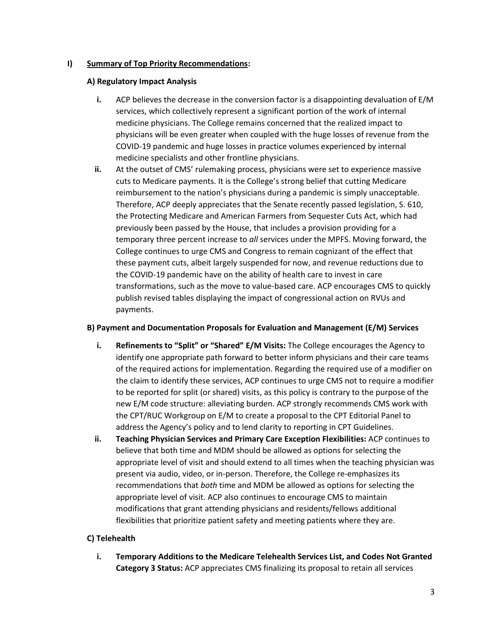### **I) Summary of Top Priority Recommendations:**

### **A) Regulatory Impact Analysis**

- **i.** ACP believes the decrease in the conversion factor is a disappointing devaluation of E/M services, which collectively represent a significant portion of the work of internal medicine physicians. The College remains concerned that the realized impact to physicians will be even greater when coupled with the huge losses of revenue from the COVID-19 pandemic and huge losses in practice volumes experienced by internal medicine specialists and other frontline physicians.
- **ii.** At the outset of CMS' rulemaking process, physicians were set to experience massive cuts to Medicare payments. It is the College's strong belief that cutting Medicare reimbursement to the nation's physicians during a pandemic is simply unacceptable. Therefore, ACP deeply appreciates that the Senate recently passed legislation, S. 610, the Protecting Medicare and American Farmers from Sequester Cuts Act, which had previously been passed by the House, that includes a provision providing for a temporary three percent increase to *all* services under the MPFS. Moving forward, the College continues to urge CMS and Congress to remain cognizant of the effect that these payment cuts, albeit largely suspended for now, and revenue reductions due to the COVID-19 pandemic have on the ability of health care to invest in care transformations, such as the move to value-based care. ACP encourages CMS to quickly publish revised tables displaying the impact of congressional action on RVUs and payments.

# **B) Payment and Documentation Proposals for Evaluation and Management (E/M) Services**

- **i. Refinements to "Split" or "Shared" E/M Visits:** The College encourages the Agency to identify one appropriate path forward to better inform physicians and their care teams of the required actions for implementation. Regarding the required use of a modifier on the claim to identify these services, ACP continues to urge CMS not to require a modifier to be reported for split (or shared) visits, as this policy is contrary to the purpose of the new E/M code structure: alleviating burden. ACP strongly recommends CMS work with the CPT/RUC Workgroup on E/M to create a proposal to the CPT Editorial Panel to address the Agency's policy and to lend clarity to reporting in CPT Guidelines.
- **ii. Teaching Physician Services and Primary Care Exception Flexibilities:** ACP continues to believe that both time and MDM should be allowed as options for selecting the appropriate level of visit and should extend to all times when the teaching physician was present via audio, video, or in-person. Therefore, the College re-emphasizes its recommendations that *both* time and MDM be allowed as options for selecting the appropriate level of visit. ACP also continues to encourage CMS to maintain modifications that grant attending physicians and residents/fellows additional flexibilities that prioritize patient safety and meeting patients where they are.

# **C) Telehealth**

**i. Temporary Additions to the Medicare Telehealth Services List, and Codes Not Granted Category 3 Status:** ACP appreciates CMS finalizing its proposal to retain all services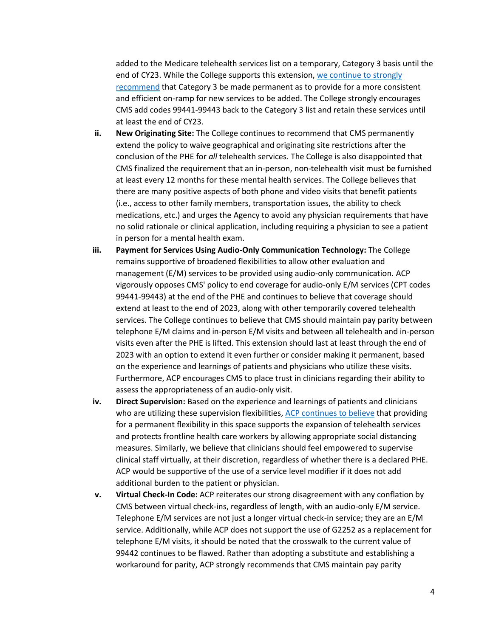added to the Medicare telehealth services list on a temporary, Category 3 basis until the end of CY23. While the College supports this extension[, we continue to strongly](https://www.acponline.org/acp_policy/letters/acp_response_to_senate_finance_committee_inquiry_concerning_policies_to_improve_behavioral_health_care_nov_2021.pdf)  [recommend](https://www.acponline.org/acp_policy/letters/acp_response_to_senate_finance_committee_inquiry_concerning_policies_to_improve_behavioral_health_care_nov_2021.pdf) that Category 3 be made permanent as to provide for a more consistent and efficient on-ramp for new services to be added. The College strongly encourages CMS add codes 99441-99443 back to the Category 3 list and retain these services until at least the end of CY23.

- **ii. New Originating Site:** The College continues to recommend that CMS permanently extend the policy to waive geographical and originating site restrictions after the conclusion of the PHE for *all* telehealth services. The College is also disappointed that CMS finalized the requirement that an in-person, non-telehealth visit must be furnished at least every 12 months for these mental health services. The College believes that there are many positive aspects of both phone and video visits that benefit patients (i.e., access to other family members, transportation issues, the ability to check medications, etc.) and urges the Agency to avoid any physician requirements that have no solid rationale or clinical application, including requiring a physician to see a patient in person for a mental health exam.
- **iii. Payment for Services Using Audio-Only Communication Technology:** The College remains supportive of broadened flexibilities to allow other evaluation and management (E/M) services to be provided using audio-only communication. ACP vigorously opposes CMS' policy to end coverage for audio-only E/M services (CPT codes 99441-99443) at the end of the PHE and continues to believe that coverage should extend at least to the end of 2023, along with other temporarily covered telehealth services. The College continues to believe that CMS should maintain pay parity between telephone E/M claims and in-person E/M visits and between all telehealth and in-person visits even after the PHE is lifted. This extension should last at least through the end of 2023 with an option to extend it even further or consider making it permanent, based on the experience and learnings of patients and physicians who utilize these visits. Furthermore, ACP encourages CMS to place trust in clinicians regarding their ability to assess the appropriateness of an audio-only visit.
- **iv. Direct Supervision:** Based on the experience and learnings of patients and clinicians who are utilizing these supervision flexibilities, [ACP continues to believe](https://www.acponline.org/acp_policy/testimony/acp_statement_for_the_record_to_the_senate_health_education_labor_and_pensions_committee_for_the_hearing_examining_our_covid-19_response_an_update_from_the_front_2021.pdf) that providing for a permanent flexibility in this space supports the expansion of telehealth services and protects frontline health care workers by allowing appropriate social distancing measures. Similarly, we believe that clinicians should feel empowered to supervise clinical staff virtually, at their discretion, regardless of whether there is a declared PHE. ACP would be supportive of the use of a service level modifier if it does not add additional burden to the patient or physician.
- **v. Virtual Check-In Code:** ACP reiterates our strong disagreement with any conflation by CMS between virtual check-ins, regardless of length, with an audio-only E/M service. Telephone E/M services are not just a longer virtual check-in service; they are an E/M service. Additionally, while ACP does not support the use of G2252 as a replacement for telephone E/M visits, it should be noted that the crosswalk to the current value of 99442 continues to be flawed. Rather than adopting a substitute and establishing a workaround for parity, ACP strongly recommends that CMS maintain pay parity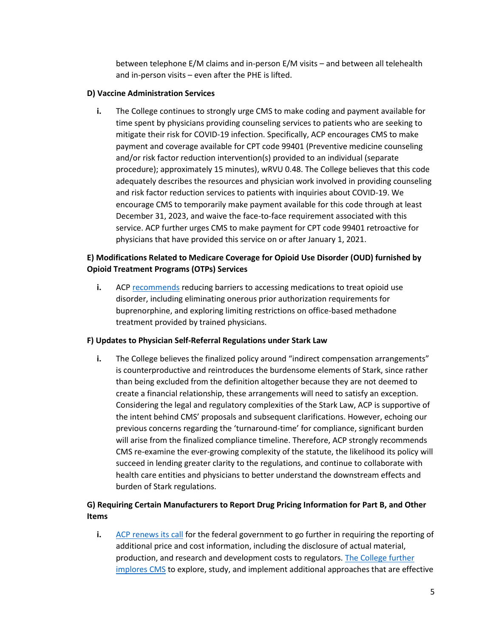between telephone E/M claims and in-person E/M visits – and between all telehealth and in-person visits – even after the PHE is lifted.

### **D) Vaccine Administration Services**

**i.** The College continues to strongly urge CMS to make coding and payment available for time spent by physicians providing counseling services to patients who are seeking to mitigate their risk for COVID-19 infection. Specifically, ACP encourages CMS to make payment and coverage available for CPT code 99401 (Preventive medicine counseling and/or risk factor reduction intervention(s) provided to an individual (separate procedure); approximately 15 minutes), wRVU 0.48. The College believes that this code adequately describes the resources and physician work involved in providing counseling and risk factor reduction services to patients with inquiries about COVID-19. We encourage CMS to temporarily make payment available for this code through at least December 31, 2023, and waive the face-to-face requirement associated with this service. ACP further urges CMS to make payment for CPT code 99401 retroactive for physicians that have provided this service on or after January 1, 2021.

# **E) Modifications Related to Medicare Coverage for Opioid Use Disorder (OUD) furnished by Opioid Treatment Programs (OTPs) Services**

**i.** ACP [recommends](https://www.acpjournals.org/doi/10.7326/M16-2953) reducing barriers to accessing medications to treat opioid use disorder, including eliminating onerous prior authorization requirements for buprenorphine, and exploring limiting restrictions on office-based methadone treatment provided by trained physicians.

# **F) Updates to Physician Self-Referral Regulations under Stark Law**

**i.** The College believes the finalized policy around "indirect compensation arrangements" is counterproductive and reintroduces the burdensome elements of Stark, since rather than being excluded from the definition altogether because they are not deemed to create a financial relationship, these arrangements will need to satisfy an exception. Considering the legal and regulatory complexities of the Stark Law, ACP is supportive of the intent behind CMS' proposals and subsequent clarifications. However, echoing our previous concerns regarding the 'turnaround-time' for compliance, significant burden will arise from the finalized compliance timeline. Therefore, ACP strongly recommends CMS re-examine the ever-growing complexity of the statute, the likelihood its policy will succeed in lending greater clarity to the regulations, and continue to collaborate with health care entities and physicians to better understand the downstream effects and burden of Stark regulations.

# **G) Requiring Certain Manufacturers to Report Drug Pricing Information for Part B, and Other Items**

**i.** [ACP renews its call](https://www.acpjournals.org/doi/10.7326/M15-2768) for the federal government to go further in requiring the reporting of additional price and cost information, including the disclosure of actual material, production, and research and development costs to regulators[. The College further](https://www.acpjournals.org/doi/10.7326/M19-0013)  [implores CMS](https://www.acpjournals.org/doi/10.7326/M19-0013) to explore, study, and implement additional approaches that are effective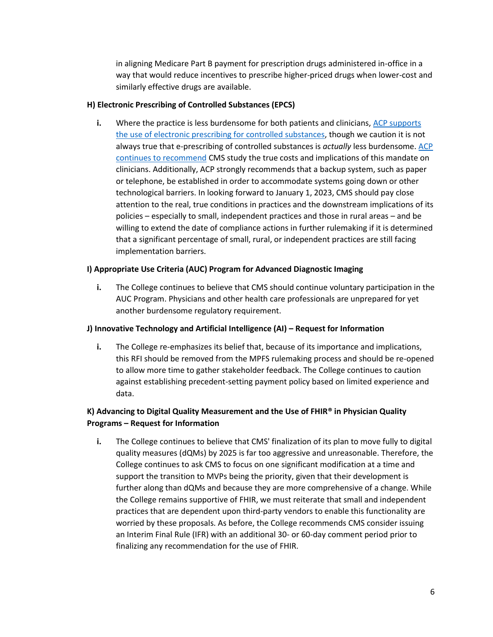in aligning Medicare Part B payment for prescription drugs administered in-office in a way that would reduce incentives to prescribe higher-priced drugs when lower-cost and similarly effective drugs are available.

### **H) Electronic Prescribing of Controlled Substances (EPCS)**

**i.** Where the practice is less burdensome for both patients and clinicians, ACP supports [the use of electronic prescribing for controlled substances,](https://www.acponline.org/acp_policy/policies/coding_nomenclature_compendium_2012.pdf) though we caution it is not always true that e-prescribing of controlled substances is *actually* less burdensome. [ACP](https://www.acponline.org/acp_policy/letters/acp_comments_on_proposed_2021_medicare_physician_fee_schedule_rule_oct_2020.pdf)  [continues to recommend](https://www.acponline.org/acp_policy/letters/acp_comments_on_proposed_2021_medicare_physician_fee_schedule_rule_oct_2020.pdf) CMS study the true costs and implications of this mandate on clinicians. Additionally, ACP strongly recommends that a backup system, such as paper or telephone, be established in order to accommodate systems going down or other technological barriers. In looking forward to January 1, 2023, CMS should pay close attention to the real, true conditions in practices and the downstream implications of its policies – especially to small, independent practices and those in rural areas – and be willing to extend the date of compliance actions in further rulemaking if it is determined that a significant percentage of small, rural, or independent practices are still facing implementation barriers.

### **I) Appropriate Use Criteria (AUC) Program for Advanced Diagnostic Imaging**

**i.** The College continues to believe that CMS should continue voluntary participation in the AUC Program. Physicians and other health care professionals are unprepared for yet another burdensome regulatory requirement.

### **J) Innovative Technology and Artificial Intelligence (AI) – Request for Information**

**i.** The College re-emphasizes its belief that, because of its importance and implications, this RFI should be removed from the MPFS rulemaking process and should be re-opened to allow more time to gather stakeholder feedback. The College continues to caution against establishing precedent-setting payment policy based on limited experience and data.

# **K) Advancing to Digital Quality Measurement and the Use of FHIR® in Physician Quality Programs – Request for Information**

**i.** The College continues to believe that CMS' finalization of its plan to move fully to digital quality measures (dQMs) by 2025 is far too aggressive and unreasonable. Therefore, the College continues to ask CMS to focus on one significant modification at a time and support the transition to MVPs being the priority, given that their development is further along than dQMs and because they are more comprehensive of a change. While the College remains supportive of FHIR, we must reiterate that small and independent practices that are dependent upon third-party vendors to enable this functionality are worried by these proposals. As before, the College recommends CMS consider issuing an Interim Final Rule (IFR) with an additional 30- or 60-day comment period prior to finalizing any recommendation for the use of FHIR.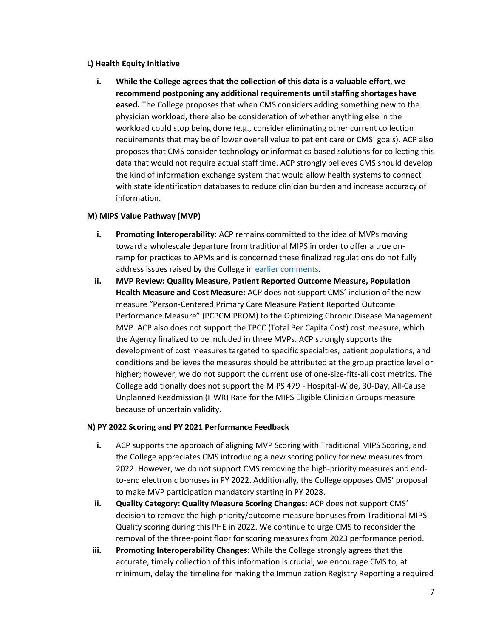#### **L) Health Equity Initiative**

**i. While the College agrees that the collection of this data is a valuable effort, we recommend postponing any additional requirements until staffing shortages have eased.** The College proposes that when CMS considers adding something new to the physician workload, there also be consideration of whether anything else in the workload could stop being done (e.g., consider eliminating other current collection requirements that may be of lower overall value to patient care or CMS' goals). ACP also proposes that CMS consider technology or informatics-based solutions for collecting this data that would not require actual staff time. ACP strongly believes CMS should develop the kind of information exchange system that would allow health systems to connect with state identification databases to reduce clinician burden and increase accuracy of information.

### **M) MIPS Value Pathway (MVP)**

- **i.** Promoting Interoperability: ACP remains committed to the idea of MVPs moving toward a wholescale departure from traditional MIPS in order to offer a true onramp for practices to APMs and is concerned these finalized regulations do not fully address issues raised by the College in [earlier comments.](https://www.acponline.org/acp_policy/letters/acp_comments_on_2022_physician_fee_schedule_and_quality_payment_program_proposed_rule_sept_2021.pdf)
- **ii. MVP Review: Quality Measure, Patient Reported Outcome Measure, Population Health Measure and Cost Measure:** ACP does not support CMS' inclusion of the new measure "Person-Centered Primary Care Measure Patient Reported Outcome Performance Measure" (PCPCM PROM) to the Optimizing Chronic Disease Management MVP. ACP also does not support the TPCC (Total Per Capita Cost) cost measure, which the Agency finalized to be included in three MVPs. ACP strongly supports the development of cost measures targeted to specific specialties, patient populations, and conditions and believes the measures should be attributed at the group practice level or higher; however, we do not support the current use of one-size-fits-all cost metrics. The College additionally does not support the MIPS 479 - Hospital-Wide, 30-Day, All-Cause Unplanned Readmission (HWR) Rate for the MIPS Eligible Clinician Groups measure because of uncertain validity.

### **N) PY 2022 Scoring and PY 2021 Performance Feedback**

- **i.** ACP supports the approach of aligning MVP Scoring with Traditional MIPS Scoring, and the College appreciates CMS introducing a new scoring policy for new measures from 2022. However, we do not support CMS removing the high-priority measures and endto-end electronic bonuses in PY 2022. Additionally, the College opposes CMS' proposal to make MVP participation mandatory starting in PY 2028.
- **ii. Quality Category: Quality Measure Scoring Changes:** ACP does not support CMS' decision to remove the high priority/outcome measure bonuses from Traditional MIPS Quality scoring during this PHE in 2022. We continue to urge CMS to reconsider the removal of the three-point floor for scoring measures from 2023 performance period.
- **iii. Promoting Interoperability Changes:** While the College strongly agrees that the accurate, timely collection of this information is crucial, we encourage CMS to, at minimum, delay the timeline for making the Immunization Registry Reporting a required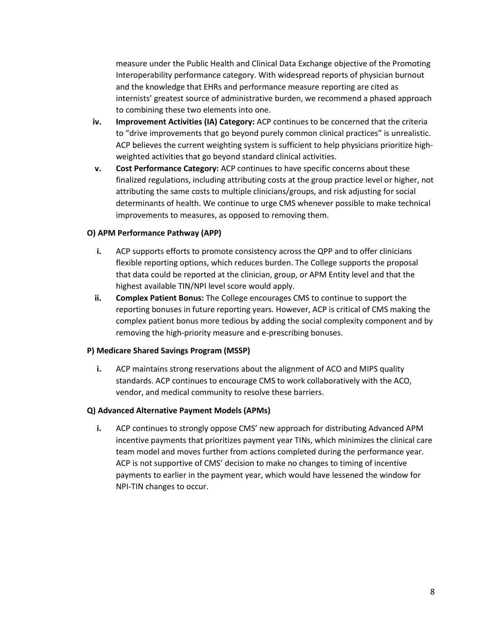measure under the Public Health and Clinical Data Exchange objective of the Promoting Interoperability performance category. With widespread reports of physician burnout and the knowledge that EHRs and performance measure reporting are cited as internists' greatest source of administrative burden, we recommend a phased approach to combining these two elements into one.

- **iv. Improvement Activities (IA) Category:** ACP continues to be concerned that the criteria to "drive improvements that go beyond purely common clinical practices" is unrealistic. ACP believes the current weighting system is sufficient to help physicians prioritize highweighted activities that go beyond standard clinical activities.
- **v. Cost Performance Category:** ACP continues to have specific concerns about these finalized regulations, including attributing costs at the group practice level or higher, not attributing the same costs to multiple clinicians/groups, and risk adjusting for social determinants of health. We continue to urge CMS whenever possible to make technical improvements to measures, as opposed to removing them.

### **O) APM Performance Pathway (APP)**

- **i.** ACP supports efforts to promote consistency across the QPP and to offer clinicians flexible reporting options, which reduces burden. The College supports the proposal that data could be reported at the clinician, group, or APM Entity level and that the highest available TIN/NPI level score would apply.
- **ii. Complex Patient Bonus:** The College encourages CMS to continue to support the reporting bonuses in future reporting years. However, ACP is critical of CMS making the complex patient bonus more tedious by adding the social complexity component and by removing the high-priority measure and e-prescribing bonuses.

#### **P) Medicare Shared Savings Program (MSSP)**

**i.** ACP maintains strong reservations about the alignment of ACO and MIPS quality standards. ACP continues to encourage CMS to work collaboratively with the ACO, vendor, and medical community to resolve these barriers.

### **Q) Advanced Alternative Payment Models (APMs)**

**i.** ACP continues to strongly oppose CMS' new approach for distributing Advanced APM incentive payments that prioritizes payment year TINs, which minimizes the clinical care team model and moves further from actions completed during the performance year. ACP is not supportive of CMS' decision to make no changes to timing of incentive payments to earlier in the payment year, which would have lessened the window for NPI-TIN changes to occur.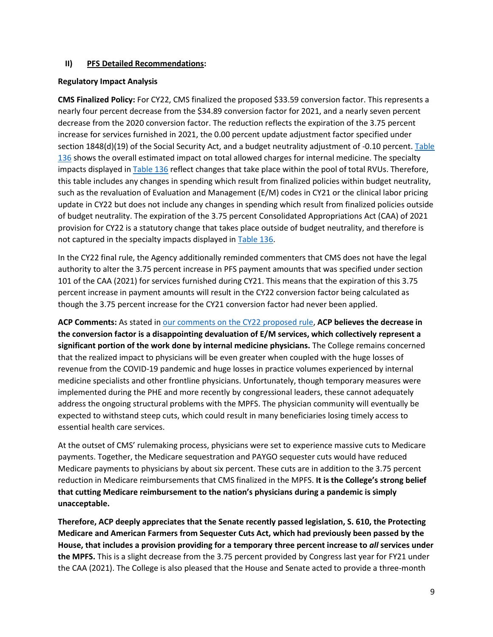### **II) PFS Detailed Recommendations:**

### **Regulatory Impact Analysis**

**CMS Finalized Policy:** For CY22, CMS finalized the proposed \$33.59 conversion factor. This represents a nearly four percent decrease from the \$34.89 conversion factor for 2021, and a nearly seven percent decrease from the 2020 conversion factor. The reduction reflects the expiration of the 3.75 percent increase for services furnished in 2021, the 0.00 percent update adjustment factor specified under section 1848(d)(19) of the Social Security Act, and a budget neutrality adjustment of -0.10 percent. [Table](https://www.federalregister.gov/documents/2021/11/19/2021-23972/medicare-program-cy-2022-payment-policies-under-the-physician-fee-schedule-and-other-changes-to-part#page-65620)  [136](https://www.federalregister.gov/documents/2021/11/19/2021-23972/medicare-program-cy-2022-payment-policies-under-the-physician-fee-schedule-and-other-changes-to-part#page-65620) shows the overall estimated impact on total allowed charges for internal medicine. The specialty impacts displayed in [Table 136](https://www.federalregister.gov/documents/2021/11/19/2021-23972/medicare-program-cy-2022-payment-policies-under-the-physician-fee-schedule-and-other-changes-to-part#page-65620) reflect changes that take place within the pool of total RVUs. Therefore, this table includes any changes in spending which result from finalized policies within budget neutrality, such as the revaluation of Evaluation and Management (E/M) codes in CY21 or the clinical labor pricing update in CY22 but does not include any changes in spending which result from finalized policies outside of budget neutrality. The expiration of the 3.75 percent Consolidated Appropriations Act (CAA) of 2021 provision for CY22 is a statutory change that takes place outside of budget neutrality, and therefore is not captured in the specialty impacts displayed i[n Table 136.](https://www.federalregister.gov/documents/2021/11/19/2021-23972/medicare-program-cy-2022-payment-policies-under-the-physician-fee-schedule-and-other-changes-to-part#page-65620)

In the CY22 final rule, the Agency additionally reminded commenters that CMS does not have the legal authority to alter the 3.75 percent increase in PFS payment amounts that was specified under section 101 of the CAA (2021) for services furnished during CY21. This means that the expiration of this 3.75 percent increase in payment amounts will result in the CY22 conversion factor being calculated as though the 3.75 percent increase for the CY21 conversion factor had never been applied.

ACP Comments: As stated in [our comments on the CY22 proposed rule,](https://www.acponline.org/acp_policy/letters/acp_comments_on_2022_physician_fee_schedule_and_quality_payment_program_proposed_rule_sept_2021.pdf) ACP believes the decrease in **the conversion factor is a disappointing devaluation of E/M services, which collectively represent a significant portion of the work done by internal medicine physicians.** The College remains concerned that the realized impact to physicians will be even greater when coupled with the huge losses of revenue from the COVID-19 pandemic and huge losses in practice volumes experienced by internal medicine specialists and other frontline physicians. Unfortunately, though temporary measures were implemented during the PHE and more recently by congressional leaders, these cannot adequately address the ongoing structural problems with the MPFS. The physician community will eventually be expected to withstand steep cuts, which could result in many beneficiaries losing timely access to essential health care services.

At the outset of CMS' rulemaking process, physicians were set to experience massive cuts to Medicare payments. Together, the Medicare sequestration and PAYGO sequester cuts would have reduced Medicare payments to physicians by about six percent. These cuts are in addition to the 3.75 percent reduction in Medicare reimbursements that CMS finalized in the MPFS. **It is the College's strong belief that cutting Medicare reimbursement to the nation's physicians during a pandemic is simply unacceptable.**

**Therefore, ACP deeply appreciates that the Senate recently passed legislation, S. 610, the Protecting Medicare and American Farmers from Sequester Cuts Act, which had previously been passed by the House, that includes a provision providing for a temporary three percent increase to** *all* **services under the MPFS.** This is a slight decrease from the 3.75 percent provided by Congress last year for FY21 under the CAA (2021). The College is also pleased that the House and Senate acted to provide a three-month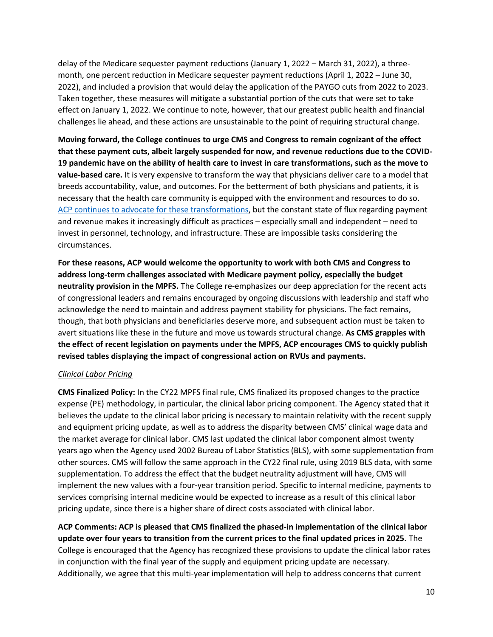delay of the Medicare sequester payment reductions (January 1, 2022 – March 31, 2022), a threemonth, one percent reduction in Medicare sequester payment reductions (April 1, 2022 – June 30, 2022), and included a provision that would delay the application of the PAYGO cuts from 2022 to 2023. Taken together, these measures will mitigate a substantial portion of the cuts that were set to take effect on January 1, 2022. We continue to note, however, that our greatest public health and financial challenges lie ahead, and these actions are unsustainable to the point of requiring structural change.

**Moving forward, the College continues to urge CMS and Congress to remain cognizant of the effect that these payment cuts, albeit largely suspended for now, and revenue reductions due to the COVID-19 pandemic have on the ability of health care to invest in care transformations, such as the move to value-based care.** It is very expensive to transform the way that physicians deliver care to a model that breeds accountability, value, and outcomes. For the betterment of both physicians and patients, it is necessary that the health care community is equipped with the environment and resources to do so. [ACP continues to advocate for these transformations,](https://www.acponline.org/advocacy/where-we-stand/better-is-possible-acps-vision-for-the-us-health-care-system) but the constant state of flux regarding payment and revenue makes it increasingly difficult as practices – especially small and independent – need to invest in personnel, technology, and infrastructure. These are impossible tasks considering the circumstances.

**For these reasons, ACP would welcome the opportunity to work with both CMS and Congress to address long-term challenges associated with Medicare payment policy, especially the budget neutrality provision in the MPFS.** The College re-emphasizes our deep appreciation for the recent acts of congressional leaders and remains encouraged by ongoing discussions with leadership and staff who acknowledge the need to maintain and address payment stability for physicians. The fact remains, though, that both physicians and beneficiaries deserve more, and subsequent action must be taken to avert situations like these in the future and move us towards structural change. **As CMS grapples with the effect of recent legislation on payments under the MPFS, ACP encourages CMS to quickly publish revised tables displaying the impact of congressional action on RVUs and payments.**

### *Clinical Labor Pricing*

**CMS Finalized Policy:** In the CY22 MPFS final rule, CMS finalized its proposed changes to the practice expense (PE) methodology, in particular, the clinical labor pricing component. The Agency stated that it believes the update to the clinical labor pricing is necessary to maintain relativity with the recent supply and equipment pricing update, as well as to address the disparity between CMS' clinical wage data and the market average for clinical labor. CMS last updated the clinical labor component almost twenty years ago when the Agency used 2002 Bureau of Labor Statistics (BLS), with some supplementation from other sources. CMS will follow the same approach in the CY22 final rule, using 2019 BLS data, with some supplementation. To address the effect that the budget neutrality adjustment will have, CMS will implement the new values with a four-year transition period. Specific to internal medicine, payments to services comprising internal medicine would be expected to increase as a result of this clinical labor pricing update, since there is a higher share of direct costs associated with clinical labor.

**ACP Comments: ACP is pleased that CMS finalized the phased-in implementation of the clinical labor update over four years to transition from the current prices to the final updated prices in 2025.** The College is encouraged that the Agency has recognized these provisions to update the clinical labor rates in conjunction with the final year of the supply and equipment pricing update are necessary. Additionally, we agree that this multi-year implementation will help to address concerns that current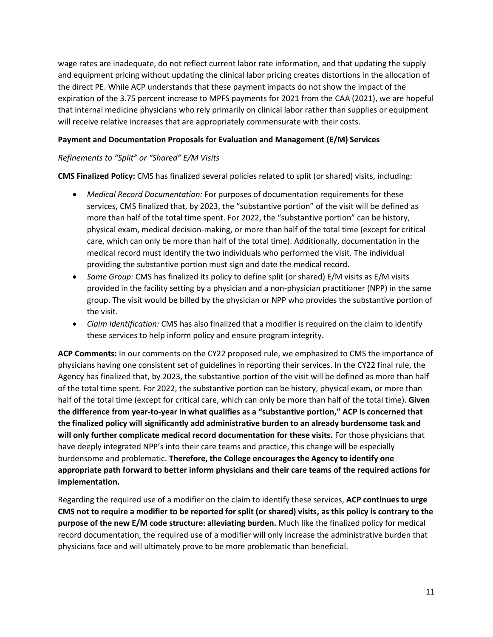wage rates are inadequate, do not reflect current labor rate information, and that updating the supply and equipment pricing without updating the clinical labor pricing creates distortions in the allocation of the direct PE. While ACP understands that these payment impacts do not show the impact of the expiration of the 3.75 percent increase to MPFS payments for 2021 from the CAA (2021), we are hopeful that internal medicine physicians who rely primarily on clinical labor rather than supplies or equipment will receive relative increases that are appropriately commensurate with their costs.

### **Payment and Documentation Proposals for Evaluation and Management (E/M) Services**

### *Refinements to "Split" or "Shared" E/M Visits*

**CMS Finalized Policy:** CMS has finalized several policies related to split (or shared) visits, including:

- *Medical Record Documentation:* For purposes of documentation requirements for these services, CMS finalized that, by 2023, the "substantive portion" of the visit will be defined as more than half of the total time spent. For 2022, the "substantive portion" can be history, physical exam, medical decision-making, or more than half of the total time (except for critical care, which can only be more than half of the total time). Additionally, documentation in the medical record must identify the two individuals who performed the visit. The individual providing the substantive portion must sign and date the medical record.
- *Same Group:* CMS has finalized its policy to define split (or shared) E/M visits as E/M visits provided in the facility setting by a physician and a non-physician practitioner (NPP) in the same group. The visit would be billed by the physician or NPP who provides the substantive portion of the visit.
- *Claim Identification:* CMS has also finalized that a modifier is required on the claim to identify these services to help inform policy and ensure program integrity.

**ACP Comments:** In our comments on the CY22 proposed rule, we emphasized to CMS the importance of physicians having one consistent set of guidelines in reporting their services. In the CY22 final rule, the Agency has finalized that, by 2023, the substantive portion of the visit will be defined as more than half of the total time spent. For 2022, the substantive portion can be history, physical exam, or more than half of the total time (except for critical care, which can only be more than half of the total time). **Given the difference from year-to-year in what qualifies as a "substantive portion," ACP is concerned that the finalized policy will significantly add administrative burden to an already burdensome task and will only further complicate medical record documentation for these visits.** For those physicians that have deeply integrated NPP's into their care teams and practice, this change will be especially burdensome and problematic. **Therefore, the College encourages the Agency to identify one appropriate path forward to better inform physicians and their care teams of the required actions for implementation.**

Regarding the required use of a modifier on the claim to identify these services, **ACP continues to urge CMS not to require a modifier to be reported for split (or shared) visits, as this policy is contrary to the purpose of the new E/M code structure: alleviating burden.** Much like the finalized policy for medical record documentation, the required use of a modifier will only increase the administrative burden that physicians face and will ultimately prove to be more problematic than beneficial.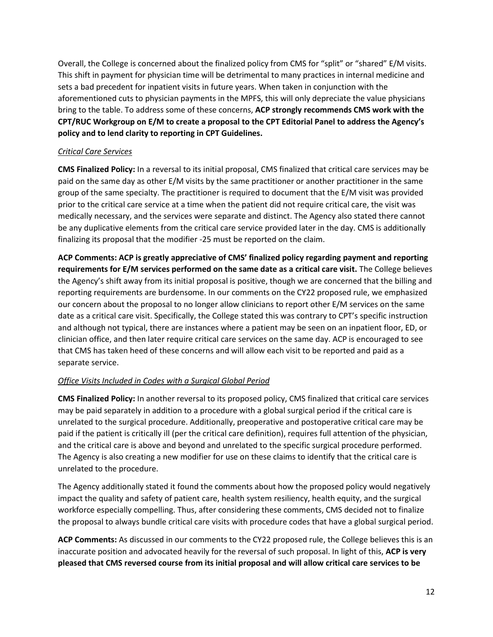Overall, the College is concerned about the finalized policy from CMS for "split" or "shared" E/M visits. This shift in payment for physician time will be detrimental to many practices in internal medicine and sets a bad precedent for inpatient visits in future years. When taken in conjunction with the aforementioned cuts to physician payments in the MPFS, this will only depreciate the value physicians bring to the table. To address some of these concerns, **ACP strongly recommends CMS work with the CPT/RUC Workgroup on E/M to create a proposal to the CPT Editorial Panel to address the Agency's policy and to lend clarity to reporting in CPT Guidelines.** 

### *Critical Care Services*

**CMS Finalized Policy:** In a reversal to its initial proposal, CMS finalized that critical care services may be paid on the same day as other E/M visits by the same practitioner or another practitioner in the same group of the same specialty. The practitioner is required to document that the E/M visit was provided prior to the critical care service at a time when the patient did not require critical care, the visit was medically necessary, and the services were separate and distinct. The Agency also stated there cannot be any duplicative elements from the critical care service provided later in the day. CMS is additionally finalizing its proposal that the modifier -25 must be reported on the claim.

**ACP Comments: ACP is greatly appreciative of CMS' finalized policy regarding payment and reporting requirements for E/M services performed on the same date as a critical care visit.** The College believes the Agency's shift away from its initial proposal is positive, though we are concerned that the billing and reporting requirements are burdensome. In our comments on the CY22 proposed rule, we emphasized our concern about the proposal to no longer allow clinicians to report other E/M services on the same date as a critical care visit. Specifically, the College stated this was contrary to CPT's specific instruction and although not typical, there are instances where a patient may be seen on an inpatient floor, ED, or clinician office, and then later require critical care services on the same day. ACP is encouraged to see that CMS has taken heed of these concerns and will allow each visit to be reported and paid as a separate service.

# *Office Visits Included in Codes with a Surgical Global Period*

**CMS Finalized Policy:** In another reversal to its proposed policy, CMS finalized that critical care services may be paid separately in addition to a procedure with a global surgical period if the critical care is unrelated to the surgical procedure. Additionally, preoperative and postoperative critical care may be paid if the patient is critically ill (per the critical care definition), requires full attention of the physician, and the critical care is above and beyond and unrelated to the specific surgical procedure performed. The Agency is also creating a new modifier for use on these claims to identify that the critical care is unrelated to the procedure.

The Agency additionally stated it found the comments about how the proposed policy would negatively impact the quality and safety of patient care, health system resiliency, health equity, and the surgical workforce especially compelling. Thus, after considering these comments, CMS decided not to finalize the proposal to always bundle critical care visits with procedure codes that have a global surgical period.

**ACP Comments:** As discussed in our comments to the CY22 proposed rule, the College believes this is an inaccurate position and advocated heavily for the reversal of such proposal. In light of this, **ACP is very pleased that CMS reversed course from its initial proposal and will allow critical care services to be**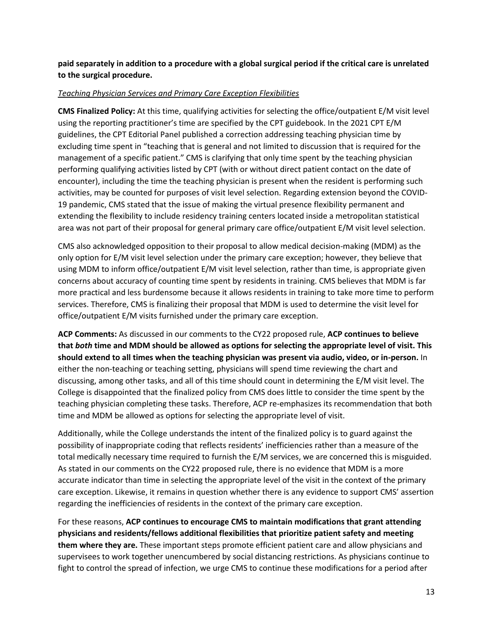**paid separately in addition to a procedure with a global surgical period if the critical care is unrelated to the surgical procedure.**

### *Teaching Physician Services and Primary Care Exception Flexibilities*

**CMS Finalized Policy:** At this time, qualifying activities for selecting the office/outpatient E/M visit level using the reporting practitioner's time are specified by the CPT guidebook. In the 2021 CPT E/M guidelines, the CPT Editorial Panel published a correction addressing teaching physician time by excluding time spent in "teaching that is general and not limited to discussion that is required for the management of a specific patient." CMS is clarifying that only time spent by the teaching physician performing qualifying activities listed by CPT (with or without direct patient contact on the date of encounter), including the time the teaching physician is present when the resident is performing such activities, may be counted for purposes of visit level selection. Regarding extension beyond the COVID-19 pandemic, CMS stated that the issue of making the virtual presence flexibility permanent and extending the flexibility to include residency training centers located inside a metropolitan statistical area was not part of their proposal for general primary care office/outpatient E/M visit level selection.

CMS also acknowledged opposition to their proposal to allow medical decision-making (MDM) as the only option for E/M visit level selection under the primary care exception; however, they believe that using MDM to inform office/outpatient E/M visit level selection, rather than time, is appropriate given concerns about accuracy of counting time spent by residents in training. CMS believes that MDM is far more practical and less burdensome because it allows residents in training to take more time to perform services. Therefore, CMS is finalizing their proposal that MDM is used to determine the visit level for office/outpatient E/M visits furnished under the primary care exception.

**ACP Comments:** As discussed in our comments to the CY22 proposed rule, **ACP continues to believe that** *both* **time and MDM should be allowed as options for selecting the appropriate level of visit. This should extend to all times when the teaching physician was present via audio, video, or in-person.** In either the non-teaching or teaching setting, physicians will spend time reviewing the chart and discussing, among other tasks, and all of this time should count in determining the E/M visit level. The College is disappointed that the finalized policy from CMS does little to consider the time spent by the teaching physician completing these tasks. Therefore, ACP re-emphasizes its recommendation that both time and MDM be allowed as options for selecting the appropriate level of visit.

Additionally, while the College understands the intent of the finalized policy is to guard against the possibility of inappropriate coding that reflects residents' inefficiencies rather than a measure of the total medically necessary time required to furnish the E/M services, we are concerned this is misguided. As stated in our comments on the CY22 proposed rule, there is no evidence that MDM is a more accurate indicator than time in selecting the appropriate level of the visit in the context of the primary care exception. Likewise, it remains in question whether there is any evidence to support CMS' assertion regarding the inefficiencies of residents in the context of the primary care exception.

For these reasons, **ACP continues to encourage CMS to maintain modifications that grant attending physicians and residents/fellows additional flexibilities that prioritize patient safety and meeting them where they are.** These important steps promote efficient patient care and allow physicians and supervisees to work together unencumbered by social distancing restrictions. As physicians continue to fight to control the spread of infection, we urge CMS to continue these modifications for a period after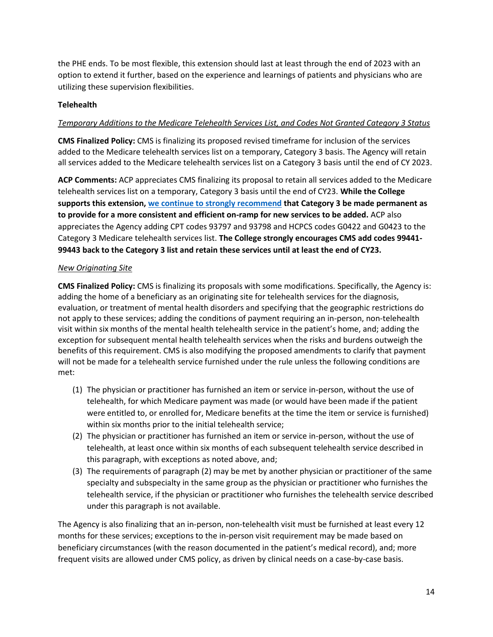the PHE ends. To be most flexible, this extension should last at least through the end of 2023 with an option to extend it further, based on the experience and learnings of patients and physicians who are utilizing these supervision flexibilities.

### **Telehealth**

### *Temporary Additions to the Medicare Telehealth Services List, and Codes Not Granted Category 3 Status*

**CMS Finalized Policy:** CMS is finalizing its proposed revised timeframe for inclusion of the services added to the Medicare telehealth services list on a temporary, Category 3 basis. The Agency will retain all services added to the Medicare telehealth services list on a Category 3 basis until the end of CY 2023.

**ACP Comments:** ACP appreciates CMS finalizing its proposal to retain all services added to the Medicare telehealth services list on a temporary, Category 3 basis until the end of CY23. **While the College supports this extension, [we continue to strongly recommend](https://www.acponline.org/acp_policy/letters/acp_response_to_senate_finance_committee_inquiry_concerning_policies_to_improve_behavioral_health_care_nov_2021.pdf) that Category 3 be made permanent as to provide for a more consistent and efficient on-ramp for new services to be added.** ACP also appreciates the Agency adding CPT codes 93797 and 93798 and HCPCS codes G0422 and G0423 to the Category 3 Medicare telehealth services list. **The College strongly encourages CMS add codes 99441- 99443 back to the Category 3 list and retain these services until at least the end of CY23.**

### *New Originating Site*

**CMS Finalized Policy:** CMS is finalizing its proposals with some modifications. Specifically, the Agency is: adding the home of a beneficiary as an originating site for telehealth services for the diagnosis, evaluation, or treatment of mental health disorders and specifying that the geographic restrictions do not apply to these services; adding the conditions of payment requiring an in-person, non-telehealth visit within six months of the mental health telehealth service in the patient's home, and; adding the exception for subsequent mental health telehealth services when the risks and burdens outweigh the benefits of this requirement. CMS is also modifying the proposed amendments to clarify that payment will not be made for a telehealth service furnished under the rule unless the following conditions are met:

- (1) The physician or practitioner has furnished an item or service in-person, without the use of telehealth, for which Medicare payment was made (or would have been made if the patient were entitled to, or enrolled for, Medicare benefits at the time the item or service is furnished) within six months prior to the initial telehealth service;
- (2) The physician or practitioner has furnished an item or service in-person, without the use of telehealth, at least once within six months of each subsequent telehealth service described in this paragraph, with exceptions as noted above, and;
- (3) The requirements of paragraph (2) may be met by another physician or practitioner of the same specialty and subspecialty in the same group as the physician or practitioner who furnishes the telehealth service, if the physician or practitioner who furnishes the telehealth service described under this paragraph is not available.

The Agency is also finalizing that an in-person, non-telehealth visit must be furnished at least every 12 months for these services; exceptions to the in-person visit requirement may be made based on beneficiary circumstances (with the reason documented in the patient's medical record), and; more frequent visits are allowed under CMS policy, as driven by clinical needs on a case-by-case basis.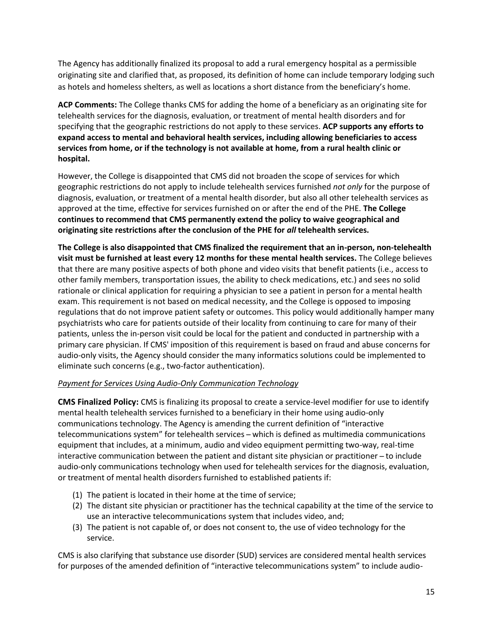The Agency has additionally finalized its proposal to add a rural emergency hospital as a permissible originating site and clarified that, as proposed, its definition of home can include temporary lodging such as hotels and homeless shelters, as well as locations a short distance from the beneficiary's home.

**ACP Comments:** The College thanks CMS for adding the home of a beneficiary as an originating site for telehealth services for the diagnosis, evaluation, or treatment of mental health disorders and for specifying that the geographic restrictions do not apply to these services. **ACP supports any efforts to expand access to mental and behavioral health services, including allowing beneficiaries to access services from home, or if the technology is not available at home, from a rural health clinic or hospital.**

However, the College is disappointed that CMS did not broaden the scope of services for which geographic restrictions do not apply to include telehealth services furnished *not only* for the purpose of diagnosis, evaluation, or treatment of a mental health disorder, but also all other telehealth services as approved at the time, effective for services furnished on or after the end of the PHE. **The College continues to recommend that CMS permanently extend the policy to waive geographical and originating site restrictions after the conclusion of the PHE for** *all* **telehealth services.**

**The College is also disappointed that CMS finalized the requirement that an in-person, non-telehealth visit must be furnished at least every 12 months for these mental health services.** The College believes that there are many positive aspects of both phone and video visits that benefit patients (i.e., access to other family members, transportation issues, the ability to check medications, etc.) and sees no solid rationale or clinical application for requiring a physician to see a patient in person for a mental health exam. This requirement is not based on medical necessity, and the College is opposed to imposing regulations that do not improve patient safety or outcomes. This policy would additionally hamper many psychiatrists who care for patients outside of their locality from continuing to care for many of their patients, unless the in-person visit could be local for the patient and conducted in partnership with a primary care physician. If CMS' imposition of this requirement is based on fraud and abuse concerns for audio-only visits, the Agency should consider the many informatics solutions could be implemented to eliminate such concerns (e.g., two-factor authentication).

# *Payment for Services Using Audio-Only Communication Technology*

**CMS Finalized Policy:** CMS is finalizing its proposal to create a service-level modifier for use to identify mental health telehealth services furnished to a beneficiary in their home using audio-only communications technology. The Agency is amending the current definition of "interactive telecommunications system" for telehealth services ̶ which is defined as multimedia communications equipment that includes, at a minimum, audio and video equipment permitting two-way, real-time interactive communication between the patient and distant site physician or practitioner ̶ to include audio-only communications technology when used for telehealth services for the diagnosis, evaluation, or treatment of mental health disorders furnished to established patients if:

- (1) The patient is located in their home at the time of service;
- (2) The distant site physician or practitioner has the technical capability at the time of the service to use an interactive telecommunications system that includes video, and;
- (3) The patient is not capable of, or does not consent to, the use of video technology for the service.

CMS is also clarifying that substance use disorder (SUD) services are considered mental health services for purposes of the amended definition of "interactive telecommunications system" to include audio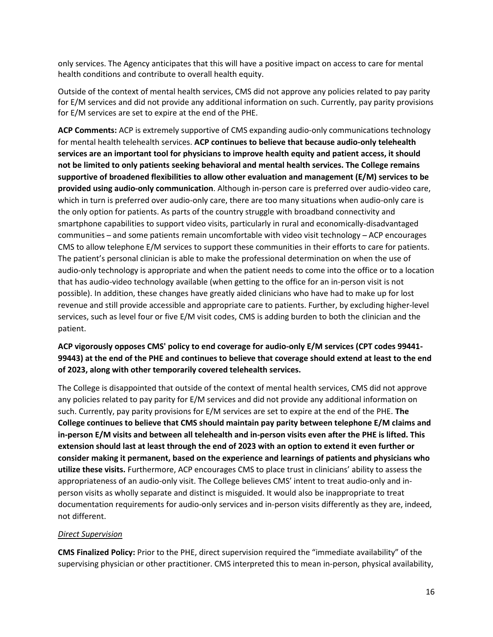only services. The Agency anticipates that this will have a positive impact on access to care for mental health conditions and contribute to overall health equity.

Outside of the context of mental health services, CMS did not approve any policies related to pay parity for E/M services and did not provide any additional information on such. Currently, pay parity provisions for E/M services are set to expire at the end of the PHE.

**ACP Comments:** ACP is extremely supportive of CMS expanding audio-only communications technology for mental health telehealth services. **ACP continues to believe that because audio-only telehealth services are an important tool for physicians to improve health equity and patient access, it should not be limited to only patients seeking behavioral and mental health services. The College remains supportive of broadened flexibilities to allow other evaluation and management (E/M) services to be provided using audio-only communication**. Although in-person care is preferred over audio-video care, which in turn is preferred over audio-only care, there are too many situations when audio-only care is the only option for patients. As parts of the country struggle with broadband connectivity and smartphone capabilities to support video visits, particularly in rural and economically-disadvantaged communities ̶ and some patients remain uncomfortable with video visit technology ̶ ACP encourages CMS to allow telephone E/M services to support these communities in their efforts to care for patients. The patient's personal clinician is able to make the professional determination on when the use of audio-only technology is appropriate and when the patient needs to come into the office or to a location that has audio-video technology available (when getting to the office for an in-person visit is not possible). In addition, these changes have greatly aided clinicians who have had to make up for lost revenue and still provide accessible and appropriate care to patients. Further, by excluding higher-level services, such as level four or five E/M visit codes, CMS is adding burden to both the clinician and the patient.

# **ACP vigorously opposes CMS' policy to end coverage for audio-only E/M services (CPT codes 99441- 99443) at the end of the PHE and continues to believe that coverage should extend at least to the end of 2023, along with other temporarily covered telehealth services.**

The College is disappointed that outside of the context of mental health services, CMS did not approve any policies related to pay parity for E/M services and did not provide any additional information on such. Currently, pay parity provisions for E/M services are set to expire at the end of the PHE. **The College continues to believe that CMS should maintain pay parity between telephone E/M claims and in-person E/M visits and between all telehealth and in-person visits even after the PHE is lifted. This extension should last at least through the end of 2023 with an option to extend it even further or consider making it permanent, based on the experience and learnings of patients and physicians who utilize these visits.** Furthermore, ACP encourages CMS to place trust in clinicians' ability to assess the appropriateness of an audio-only visit. The College believes CMS' intent to treat audio-only and inperson visits as wholly separate and distinct is misguided. It would also be inappropriate to treat documentation requirements for audio-only services and in-person visits differently as they are, indeed, not different.

### *Direct Supervision*

**CMS Finalized Policy:** Prior to the PHE, direct supervision required the "immediate availability" of the supervising physician or other practitioner. CMS interpreted this to mean in-person, physical availability,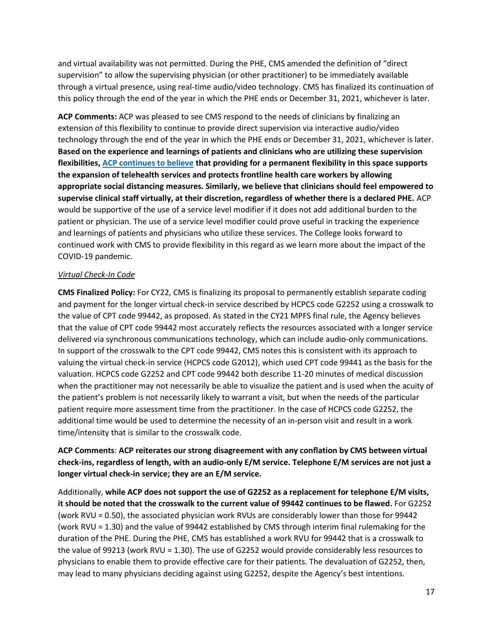and virtual availability was not permitted. During the PHE, CMS amended the definition of "direct supervision" to allow the supervising physician (or other practitioner) to be immediately available through a virtual presence, using real-time audio/video technology. CMS has finalized its continuation of this policy through the end of the year in which the PHE ends or December 31, 2021, whichever is later.

**ACP Comments:** ACP was pleased to see CMS respond to the needs of clinicians by finalizing an extension of this flexibility to continue to provide direct supervision via interactive audio/video technology through the end of the year in which the PHE ends or December 31, 2021, whichever is later. **Based on the experience and learnings of patients and clinicians who are utilizing these supervision flexibilities, [ACP continues to believe](https://www.acponline.org/acp_policy/testimony/acp_statement_for_the_record_to_the_senate_health_education_labor_and_pensions_committee_for_the_hearing_examining_our_covid-19_response_an_update_from_the_front_2021.pdf) that providing for a permanent flexibility in this space supports the expansion of telehealth services and protects frontline health care workers by allowing appropriate social distancing measures. Similarly, we believe that clinicians should feel empowered to supervise clinical staff virtually, at their discretion, regardless of whether there is a declared PHE.** ACP would be supportive of the use of a service level modifier if it does not add additional burden to the patient or physician. The use of a service level modifier could prove useful in tracking the experience and learnings of patients and physicians who utilize these services. The College looks forward to continued work with CMS to provide flexibility in this regard as we learn more about the impact of the COVID-19 pandemic.

### *Virtual Check-In Code*

**CMS Finalized Policy:** For CY22, CMS is finalizing its proposal to permanently establish separate coding and payment for the longer virtual check-in service described by HCPCS code G2252 using a crosswalk to the value of CPT code 99442, as proposed. As stated in the CY21 MPFS final rule, the Agency believes that the value of CPT code 99442 most accurately reflects the resources associated with a longer service delivered via synchronous communications technology, which can include audio-only communications. In support of the crosswalk to the CPT code 99442, CMS notes this is consistent with its approach to valuing the virtual check-in service (HCPCS code G2012), which used CPT code 99441 as the basis for the valuation. HCPCS code G2252 and CPT code 99442 both describe 11-20 minutes of medical discussion when the practitioner may not necessarily be able to visualize the patient and is used when the acuity of the patient's problem is not necessarily likely to warrant a visit, but when the needs of the particular patient require more assessment time from the practitioner. In the case of HCPCS code G2252, the additional time would be used to determine the necessity of an in-person visit and result in a work time/intensity that is similar to the crosswalk code.

# **ACP Comments**: **ACP reiterates our strong disagreement with any conflation by CMS between virtual check-ins, regardless of length, with an audio-only E/M service. Telephone E/M services are not just a longer virtual check-in service; they are an E/M service.**

Additionally, **while ACP does not support the use of G2252 as a replacement for telephone E/M visits, it should be noted that the crosswalk to the current value of 99442 continues to be flawed.** For G2252 (work RVU = 0.50), the associated physician work RVUs are considerably lower than those for 99442 (work RVU = 1.30) and the value of 99442 established by CMS through interim final rulemaking for the duration of the PHE. During the PHE, CMS has established a work RVU for 99442 that is a crosswalk to the value of 99213 (work RVU = 1.30). The use of G2252 would provide considerably less resources to physicians to enable them to provide effective care for their patients. The devaluation of G2252, then, may lead to many physicians deciding against using G2252, despite the Agency's best intentions.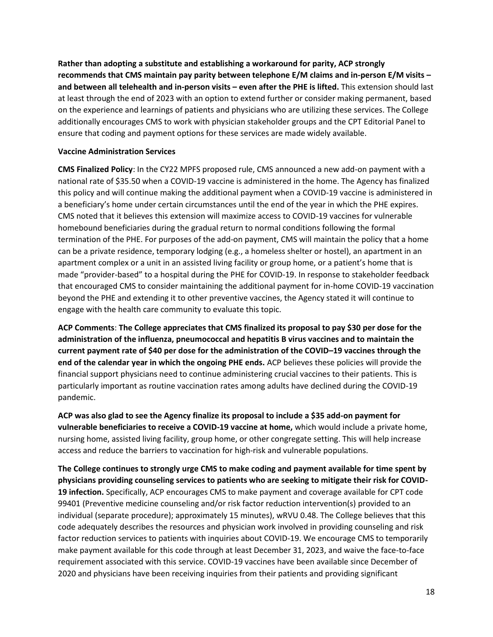**Rather than adopting a substitute and establishing a workaround for parity, ACP strongly recommends that CMS maintain pay parity between telephone E/M claims and in-person E/M visits – and between all telehealth and in-person visits – even after the PHE is lifted.** This extension should last at least through the end of 2023 with an option to extend further or consider making permanent, based on the experience and learnings of patients and physicians who are utilizing these services. The College additionally encourages CMS to work with physician stakeholder groups and the CPT Editorial Panel to ensure that coding and payment options for these services are made widely available.

### **Vaccine Administration Services**

**CMS Finalized Policy**: In the CY22 MPFS proposed rule, CMS announced a new add-on payment with a national rate of \$35.50 when a COVID-19 vaccine is administered in the home. The Agency has finalized this policy and will continue making the additional payment when a COVID-19 vaccine is administered in a beneficiary's home under certain circumstances until the end of the year in which the PHE expires. CMS noted that it believes this extension will maximize access to COVID-19 vaccines for vulnerable homebound beneficiaries during the gradual return to normal conditions following the formal termination of the PHE. For purposes of the add-on payment, CMS will maintain the policy that a home can be a private residence, temporary lodging (e.g., a homeless shelter or hostel), an apartment in an apartment complex or a unit in an assisted living facility or group home, or a patient's home that is made "provider-based" to a hospital during the PHE for COVID-19. In response to stakeholder feedback that encouraged CMS to consider maintaining the additional payment for in-home COVID-19 vaccination beyond the PHE and extending it to other preventive vaccines, the Agency stated it will continue to engage with the health care community to evaluate this topic.

**ACP Comments**: **The College appreciates that CMS finalized its proposal to pay \$30 per dose for the administration of the influenza, pneumococcal and hepatitis B virus vaccines and to maintain the current payment rate of \$40 per dose for the administration of the COVID–19 vaccines through the end of the calendar year in which the ongoing PHE ends.** ACP believes these policies will provide the financial support physicians need to continue administering crucial vaccines to their patients. This is particularly important as routine vaccination rates among adults have declined during the COVID-19 pandemic.

**ACP was also glad to see the Agency finalize its proposal to include a \$35 add-on payment for vulnerable beneficiaries to receive a COVID-19 vaccine at home,** which would include a private home, nursing home, assisted living facility, group home, or other congregate setting. This will help increase access and reduce the barriers to vaccination for high-risk and vulnerable populations.

**The College continues to strongly urge CMS to make coding and payment available for time spent by physicians providing counseling services to patients who are seeking to mitigate their risk for COVID-19 infection.** Specifically, ACP encourages CMS to make payment and coverage available for CPT code 99401 (Preventive medicine counseling and/or risk factor reduction intervention(s) provided to an individual (separate procedure); approximately 15 minutes), wRVU 0.48. The College believes that this code adequately describes the resources and physician work involved in providing counseling and risk factor reduction services to patients with inquiries about COVID-19. We encourage CMS to temporarily make payment available for this code through at least December 31, 2023, and waive the face-to-face requirement associated with this service. COVID-19 vaccines have been available since December of 2020 and physicians have been receiving inquiries from their patients and providing significant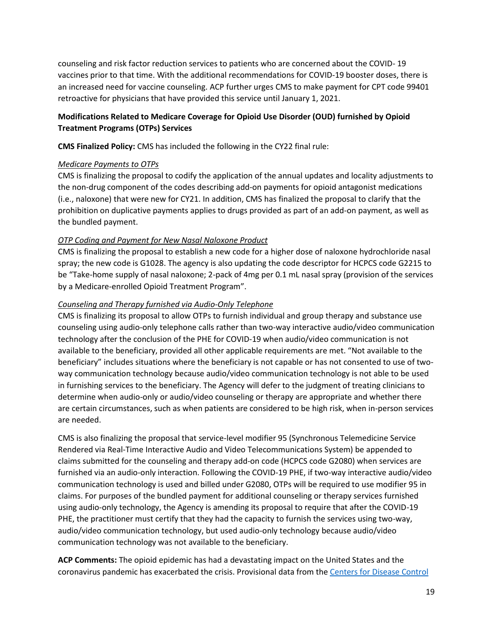counseling and risk factor reduction services to patients who are concerned about the COVID- 19 vaccines prior to that time. With the additional recommendations for COVID-19 booster doses, there is an increased need for vaccine counseling. ACP further urges CMS to make payment for CPT code 99401 retroactive for physicians that have provided this service until January 1, 2021.

# **Modifications Related to Medicare Coverage for Opioid Use Disorder (OUD) furnished by Opioid Treatment Programs (OTPs) Services**

**CMS Finalized Policy:** CMS has included the following in the CY22 final rule:

### *Medicare Payments to OTPs*

CMS is finalizing the proposal to codify the application of the annual updates and locality adjustments to the non-drug component of the codes describing add-on payments for opioid antagonist medications (i.e., naloxone) that were new for CY21. In addition, CMS has finalized the proposal to clarify that the prohibition on duplicative payments applies to drugs provided as part of an add-on payment, as well as the bundled payment.

# *OTP Coding and Payment for New Nasal Naloxone Product*

CMS is finalizing the proposal to establish a new code for a higher dose of naloxone hydrochloride nasal spray; the new code is G1028. The agency is also updating the code descriptor for HCPCS code G2215 to be "Take-home supply of nasal naloxone; 2-pack of 4mg per 0.1 mL nasal spray (provision of the services by a Medicare-enrolled Opioid Treatment Program".

### *Counseling and Therapy furnished via Audio-Only Telephone*

CMS is finalizing its proposal to allow OTPs to furnish individual and group therapy and substance use counseling using audio-only telephone calls rather than two-way interactive audio/video communication technology after the conclusion of the PHE for COVID-19 when audio/video communication is not available to the beneficiary, provided all other applicable requirements are met. "Not available to the beneficiary" includes situations where the beneficiary is not capable or has not consented to use of twoway communication technology because audio/video communication technology is not able to be used in furnishing services to the beneficiary. The Agency will defer to the judgment of treating clinicians to determine when audio-only or audio/video counseling or therapy are appropriate and whether there are certain circumstances, such as when patients are considered to be high risk, when in-person services are needed.

CMS is also finalizing the proposal that service-level modifier 95 (Synchronous Telemedicine Service Rendered via Real-Time Interactive Audio and Video Telecommunications System) be appended to claims submitted for the counseling and therapy add-on code (HCPCS code G2080) when services are furnished via an audio-only interaction. Following the COVID-19 PHE, if two-way interactive audio/video communication technology is used and billed under G2080, OTPs will be required to use modifier 95 in claims. For purposes of the bundled payment for additional counseling or therapy services furnished using audio-only technology, the Agency is amending its proposal to require that after the COVID-19 PHE, the practitioner must certify that they had the capacity to furnish the services using two-way, audio/video communication technology, but used audio-only technology because audio/video communication technology was not available to the beneficiary.

**ACP Comments:** The opioid epidemic has had a devastating impact on the United States and the coronavirus pandemic has exacerbated the crisis. Provisional data from the [Centers for Disease Control](https://www.cdc.gov/nchs/nvss/vsrr/drug-overdose-data.htm)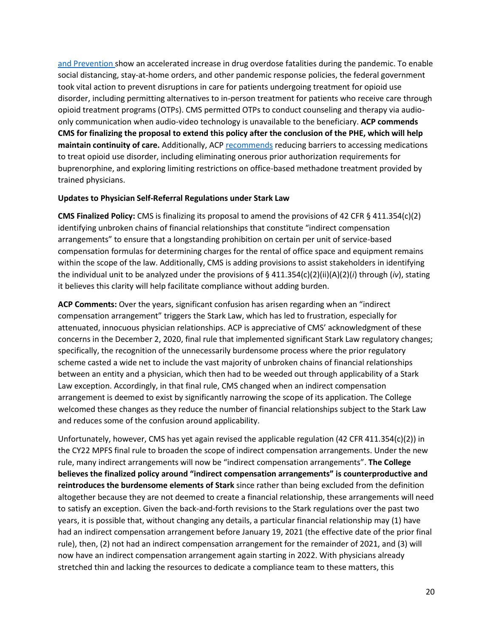[and Prevention s](https://www.cdc.gov/nchs/nvss/vsrr/drug-overdose-data.htm)how an accelerated increase in drug overdose fatalities during the pandemic. To enable social distancing, stay-at-home orders, and other pandemic response policies, the federal government took vital action to prevent disruptions in care for patients undergoing treatment for opioid use disorder, including permitting alternatives to in-person treatment for patients who receive care through opioid treatment programs (OTPs). CMS permitted OTPs to conduct counseling and therapy via audioonly communication when audio-video technology is unavailable to the beneficiary. **ACP commends CMS for finalizing the proposal to extend this policy after the conclusion of the PHE, which will help maintain continuity of care.** Additionally, ACP [recommends](https://www.acpjournals.org/doi/10.7326/M16-2953) reducing barriers to accessing medications to treat opioid use disorder, including eliminating onerous prior authorization requirements for buprenorphine, and exploring limiting restrictions on office-based methadone treatment provided by trained physicians.

#### **Updates to Physician Self-Referral Regulations under Stark Law**

**CMS Finalized Policy:** CMS is finalizing its proposal to amend the provisions of 42 CFR § 411.354(c)(2) identifying unbroken chains of financial relationships that constitute "indirect compensation arrangements" to ensure that a longstanding prohibition on certain per unit of service-based compensation formulas for determining charges for the rental of office space and equipment remains within the scope of the law. Additionally, CMS is adding provisions to assist stakeholders in identifying the individual unit to be analyzed under the provisions of § 411.354(c)(2)(ii)(A)(2)(*i*) through (*iv*), stating it believes this clarity will help facilitate compliance without adding burden.

**ACP Comments:** Over the years, significant confusion has arisen regarding when an "indirect compensation arrangement" triggers the Stark Law, which has led to frustration, especially for attenuated, innocuous physician relationships. ACP is appreciative of CMS' acknowledgment of these concerns in the December 2, 2020, final rule that implemented significant Stark Law regulatory changes; specifically, the recognition of the unnecessarily burdensome process where the prior regulatory scheme casted a wide net to include the vast majority of unbroken chains of financial relationships between an entity and a physician, which then had to be weeded out through applicability of a Stark Law exception. Accordingly, in that final rule, CMS changed when an indirect compensation arrangement is deemed to exist by significantly narrowing the scope of its application. The College welcomed these changes as they reduce the number of financial relationships subject to the Stark Law and reduces some of the confusion around applicability.

Unfortunately, however, CMS has yet again revised the applicable regulation (42 CFR 411.354(c)(2)) in the CY22 MPFS final rule to broaden the scope of indirect compensation arrangements. Under the new rule, many indirect arrangements will now be "indirect compensation arrangements". **The College believes the finalized policy around "indirect compensation arrangements" is counterproductive and reintroduces the burdensome elements of Stark** since rather than being excluded from the definition altogether because they are not deemed to create a financial relationship, these arrangements will need to satisfy an exception. Given the back-and-forth revisions to the Stark regulations over the past two years, it is possible that, without changing any details, a particular financial relationship may (1) have had an indirect compensation arrangement before January 19, 2021 (the effective date of the prior final rule), then, (2) not had an indirect compensation arrangement for the remainder of 2021, and (3) will now have an indirect compensation arrangement again starting in 2022. With physicians already stretched thin and lacking the resources to dedicate a compliance team to these matters, this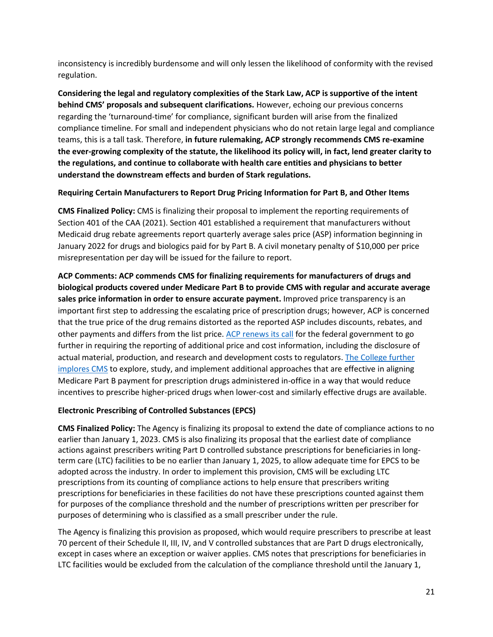inconsistency is incredibly burdensome and will only lessen the likelihood of conformity with the revised regulation.

**Considering the legal and regulatory complexities of the Stark Law, ACP is supportive of the intent behind CMS' proposals and subsequent clarifications.** However, echoing our previous concerns regarding the 'turnaround-time' for compliance, significant burden will arise from the finalized compliance timeline. For small and independent physicians who do not retain large legal and compliance teams, this is a tall task. Therefore, **in future rulemaking, ACP strongly recommends CMS re-examine the ever-growing complexity of the statute, the likelihood its policy will, in fact, lend greater clarity to the regulations, and continue to collaborate with health care entities and physicians to better understand the downstream effects and burden of Stark regulations.** 

### **Requiring Certain Manufacturers to Report Drug Pricing Information for Part B, and Other Items**

**CMS Finalized Policy:** CMS is finalizing their proposal to implement the reporting requirements of Section 401 of the CAA (2021). Section 401 established a requirement that manufacturers without Medicaid drug rebate agreements report quarterly average sales price (ASP) information beginning in January 2022 for drugs and biologics paid for by Part B. A civil monetary penalty of \$10,000 per price misrepresentation per day will be issued for the failure to report.

**ACP Comments: ACP commends CMS for finalizing requirements for manufacturers of drugs and biological products covered under Medicare Part B to provide CMS with regular and accurate average sales price information in order to ensure accurate payment.** Improved price transparency is an important first step to addressing the escalating price of prescription drugs; however, ACP is concerned that the true price of the drug remains distorted as the reported ASP includes discounts, rebates, and other payments and differs from the list price. [ACP renews its call](https://www.acpjournals.org/doi/10.7326/M15-2768) for the federal government to go further in requiring the reporting of additional price and cost information, including the disclosure of actual material, production, and research and development costs to regulators. The College further [implores CMS](https://www.acpjournals.org/doi/10.7326/M19-0013) to explore, study, and implement additional approaches that are effective in aligning Medicare Part B payment for prescription drugs administered in-office in a way that would reduce incentives to prescribe higher-priced drugs when lower-cost and similarly effective drugs are available.

# **Electronic Prescribing of Controlled Substances (EPCS)**

**CMS Finalized Policy:** The Agency is finalizing its proposal to extend the date of compliance actions to no earlier than January 1, 2023. CMS is also finalizing its proposal that the earliest date of compliance actions against prescribers writing Part D controlled substance prescriptions for beneficiaries in longterm care (LTC) facilities to be no earlier than January 1, 2025, to allow adequate time for EPCS to be adopted across the industry. In order to implement this provision, CMS will be excluding LTC prescriptions from its counting of compliance actions to help ensure that prescribers writing prescriptions for beneficiaries in these facilities do not have these prescriptions counted against them for purposes of the compliance threshold and the number of prescriptions written per prescriber for purposes of determining who is classified as a small prescriber under the rule.

The Agency is finalizing this provision as proposed, which would require prescribers to prescribe at least 70 percent of their Schedule II, III, IV, and V controlled substances that are Part D drugs electronically, except in cases where an exception or waiver applies. CMS notes that prescriptions for beneficiaries in LTC facilities would be excluded from the calculation of the compliance threshold until the January 1,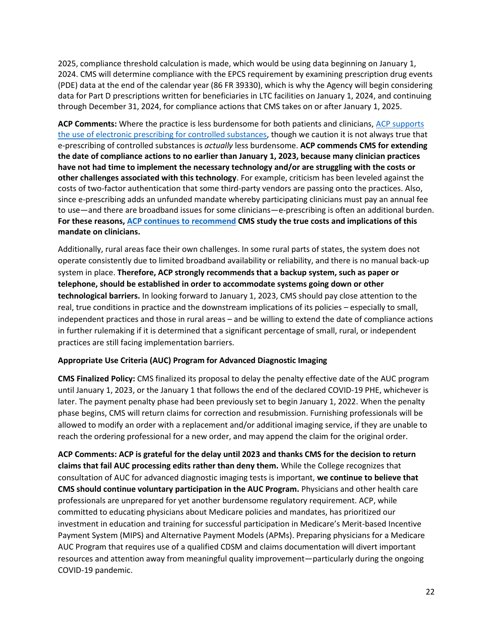2025, compliance threshold calculation is made, which would be using data beginning on January 1, 2024. CMS will determine compliance with the EPCS requirement by examining prescription drug events (PDE) data at the end of the calendar year (86 FR 39330), which is why the Agency will begin considering data for Part D prescriptions written for beneficiaries in LTC facilities on January 1, 2024, and continuing through December 31, 2024, for compliance actions that CMS takes on or after January 1, 2025.

ACP Comments: Where the practice is less burdensome for both patients and clinicians, ACP supports [the use of electronic prescribing for controlled substances,](https://www.acponline.org/acp_policy/policies/coding_nomenclature_compendium_2012.pdf) though we caution it is not always true that e-prescribing of controlled substances is *actually* less burdensome. **ACP commends CMS for extending the date of compliance actions to no earlier than January 1, 2023, because many clinician practices have not had time to implement the necessary technology and/or are struggling with the costs or other challenges associated with this technology**. For example, criticism has been leveled against the costs of two-factor authentication that some third-party vendors are passing onto the practices. Also, since e-prescribing adds an unfunded mandate whereby participating clinicians must pay an annual fee to use—and there are broadband issues for some clinicians—e-prescribing is often an additional burden. **For these reasons, [ACP continues to recommend](https://www.acponline.org/acp_policy/letters/acp_comments_on_proposed_2021_medicare_physician_fee_schedule_rule_oct_2020.pdf) CMS study the true costs and implications of this mandate on clinicians.**

Additionally, rural areas face their own challenges. In some rural parts of states, the system does not operate consistently due to limited broadband availability or reliability, and there is no manual back-up system in place. **Therefore, ACP strongly recommends that a backup system, such as paper or telephone, should be established in order to accommodate systems going down or other technological barriers.** In looking forward to January 1, 2023, CMS should pay close attention to the real, true conditions in practice and the downstream implications of its policies – especially to small, independent practices and those in rural areas – and be willing to extend the date of compliance actions in further rulemaking if it is determined that a significant percentage of small, rural, or independent practices are still facing implementation barriers.

### **Appropriate Use Criteria (AUC) Program for Advanced Diagnostic Imaging**

**CMS Finalized Policy:** CMS finalized its proposal to delay the penalty effective date of the AUC program until January 1, 2023, or the January 1 that follows the end of the declared COVID-19 PHE, whichever is later. The payment penalty phase had been previously set to begin January 1, 2022. When the penalty phase begins, CMS will return claims for correction and resubmission. Furnishing professionals will be allowed to modify an order with a replacement and/or additional imaging service, if they are unable to reach the ordering professional for a new order, and may append the claim for the original order.

**ACP Comments: ACP is grateful for the delay until 2023 and thanks CMS for the decision to return claims that fail AUC processing edits rather than deny them.** While the College recognizes that consultation of AUC for advanced diagnostic imaging tests is important, **we continue to believe that CMS should continue voluntary participation in the AUC Program.** Physicians and other health care professionals are unprepared for yet another burdensome regulatory requirement. ACP, while committed to educating physicians about Medicare policies and mandates, has prioritized our investment in education and training for successful participation in Medicare's Merit-based Incentive Payment System (MIPS) and Alternative Payment Models (APMs). Preparing physicians for a Medicare AUC Program that requires use of a qualified CDSM and claims documentation will divert important resources and attention away from meaningful quality improvement—particularly during the ongoing COVID-19 pandemic.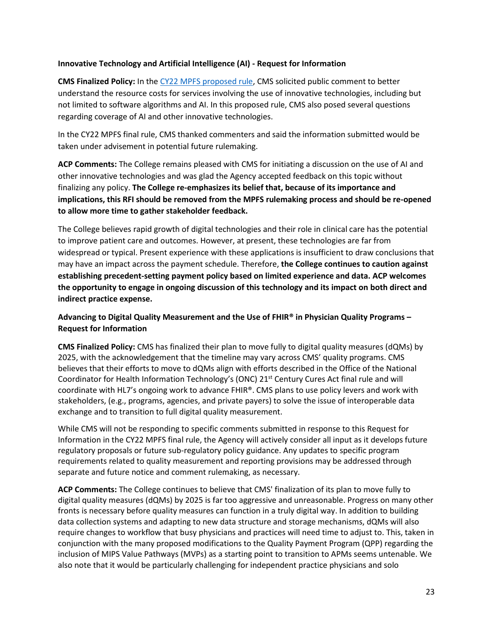### **Innovative Technology and Artificial Intelligence (AI) - Request for Information**

**CMS Finalized Policy:** In the [CY22 MPFS proposed rule,](https://www.acponline.org/acp_policy/letters/acp_comments_on_2022_physician_fee_schedule_and_quality_payment_program_proposed_rule_sept_2021.pdf) CMS solicited public comment to better understand the resource costs for services involving the use of innovative technologies, including but not limited to software algorithms and AI. In this proposed rule, CMS also posed several questions regarding coverage of AI and other innovative technologies.

In the CY22 MPFS final rule, CMS thanked commenters and said the information submitted would be taken under advisement in potential future rulemaking.

**ACP Comments:** The College remains pleased with CMS for initiating a discussion on the use of AI and other innovative technologies and was glad the Agency accepted feedback on this topic without finalizing any policy. **The College re-emphasizes its belief that, because of its importance and implications, this RFI should be removed from the MPFS rulemaking process and should be re-opened to allow more time to gather stakeholder feedback.**

The College believes rapid growth of digital technologies and their role in clinical care has the potential to improve patient care and outcomes. However, at present, these technologies are far from widespread or typical. Present experience with these applications is insufficient to draw conclusions that may have an impact across the payment schedule. Therefore, **the College continues to caution against establishing precedent-setting payment policy based on limited experience and data. ACP welcomes the opportunity to engage in ongoing discussion of this technology and its impact on both direct and indirect practice expense.**

**Advancing to Digital Quality Measurement and the Use of FHIR® in Physician Quality Programs – Request for Information** 

**CMS Finalized Policy:** CMS has finalized their plan to move fully to digital quality measures (dQMs) by 2025, with the acknowledgement that the timeline may vary across CMS' quality programs. CMS believes that their efforts to move to dQMs align with efforts described in the Office of the National Coordinator for Health Information Technology's (ONC) 21st Century Cures Act final rule and will coordinate with HL7's ongoing work to advance FHIR®. CMS plans to use policy levers and work with stakeholders, (e.g., programs, agencies, and private payers) to solve the issue of interoperable data exchange and to transition to full digital quality measurement.

While CMS will not be responding to specific comments submitted in response to this Request for Information in the CY22 MPFS final rule, the Agency will actively consider all input as it develops future regulatory proposals or future sub-regulatory policy guidance. Any updates to specific program requirements related to quality measurement and reporting provisions may be addressed through separate and future notice and comment rulemaking, as necessary.

**ACP Comments:** The College continues to believe that CMS' finalization of its plan to move fully to digital quality measures (dQMs) by 2025 is far too aggressive and unreasonable. Progress on many other fronts is necessary before quality measures can function in a truly digital way. In addition to building data collection systems and adapting to new data structure and storage mechanisms, dQMs will also require changes to workflow that busy physicians and practices will need time to adjust to. This, taken in conjunction with the many proposed modifications to the Quality Payment Program (QPP) regarding the inclusion of MIPS Value Pathways (MVPs) as a starting point to transition to APMs seems untenable. We also note that it would be particularly challenging for independent practice physicians and solo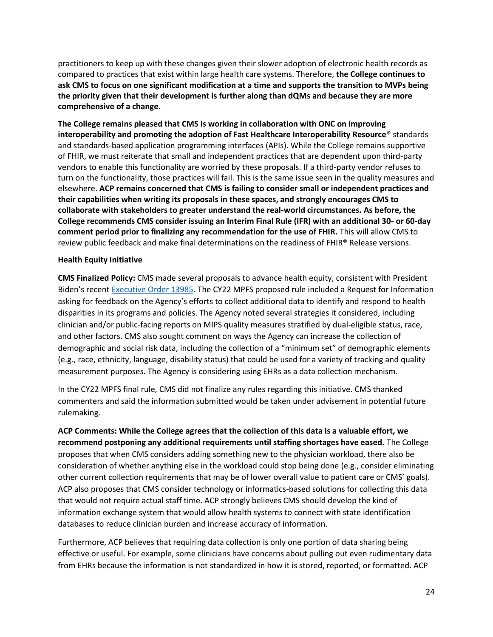practitioners to keep up with these changes given their slower adoption of electronic health records as compared to practices that exist within large health care systems. Therefore, **the College continues to ask CMS to focus on one significant modification at a time and supports the transition to MVPs being the priority given that their development is further along than dQMs and because they are more comprehensive of a change.**

**The College remains pleased that CMS is working in collaboration with ONC on improving interoperability and promoting the adoption of Fast Healthcare Interoperability Resource**® standards and standards-based application programming interfaces (APIs). While the College remains supportive of FHIR, we must reiterate that small and independent practices that are dependent upon third-party vendors to enable this functionality are worried by these proposals. If a third-party vendor refuses to turn on the functionality, those practices will fail. This is the same issue seen in the quality measures and elsewhere. **ACP remains concerned that CMS is failing to consider small or independent practices and their capabilities when writing its proposals in these spaces, and strongly encourages CMS to collaborate with stakeholders to greater understand the real-world circumstances. As before, the College recommends CMS consider issuing an Interim Final Rule (IFR) with an additional 30- or 60-day comment period prior to finalizing any recommendation for the use of FHIR.** This will allow CMS to review public feedback and make final determinations on the readiness of FHIR® Release versions.

### **Health Equity Initiative**

**CMS Finalized Policy:** CMS made several proposals to advance health equity, consistent with President Biden's recent [Executive Order 13985.](https://www.federalregister.gov/d/2021-01753) The CY22 MPFS proposed rule included a Request for Information asking for feedback on the Agency's efforts to collect additional data to identify and respond to health disparities in its programs and policies. The Agency noted several strategies it considered, including clinician and/or public-facing reports on MIPS quality measures stratified by dual-eligible status, race, and other factors. CMS also sought comment on ways the Agency can increase the collection of demographic and social risk data, including the collection of a "minimum set" of demographic elements (e.g., race, ethnicity, language, disability status) that could be used for a variety of tracking and quality measurement purposes. The Agency is considering using EHRs as a data collection mechanism.

In the CY22 MPFS final rule, CMS did not finalize any rules regarding this initiative. CMS thanked commenters and said the information submitted would be taken under advisement in potential future rulemaking.

**ACP Comments: While the College agrees that the collection of this data is a valuable effort, we recommend postponing any additional requirements until staffing shortages have eased.** The College proposes that when CMS considers adding something new to the physician workload, there also be consideration of whether anything else in the workload could stop being done (e.g., consider eliminating other current collection requirements that may be of lower overall value to patient care or CMS' goals). ACP also proposes that CMS consider technology or informatics-based solutions for collecting this data that would not require actual staff time. ACP strongly believes CMS should develop the kind of information exchange system that would allow health systems to connect with state identification databases to reduce clinician burden and increase accuracy of information.

Furthermore, ACP believes that requiring data collection is only one portion of data sharing being effective or useful. For example, some clinicians have concerns about pulling out even rudimentary data from EHRs because the information is not standardized in how it is stored, reported, or formatted. ACP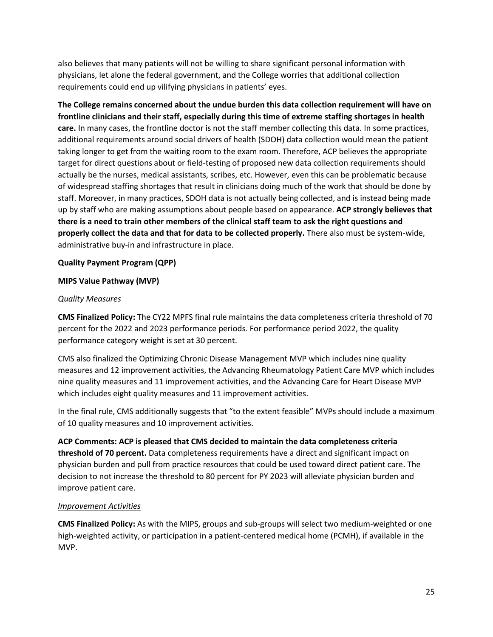also believes that many patients will not be willing to share significant personal information with physicians, let alone the federal government, and the College worries that additional collection requirements could end up vilifying physicians in patients' eyes.

**The College remains concerned about the undue burden this data collection requirement will have on frontline clinicians and their staff, especially during this time of extreme staffing shortages in health care.** In many cases, the frontline doctor is not the staff member collecting this data. In some practices, additional requirements around social drivers of health (SDOH) data collection would mean the patient taking longer to get from the waiting room to the exam room. Therefore, ACP believes the appropriate target for direct questions about or field-testing of proposed new data collection requirements should actually be the nurses, medical assistants, scribes, etc. However, even this can be problematic because of widespread staffing shortages that result in clinicians doing much of the work that should be done by staff. Moreover, in many practices, SDOH data is not actually being collected, and is instead being made up by staff who are making assumptions about people based on appearance. **ACP strongly believes that there is a need to train other members of the clinical staff team to ask the right questions and properly collect the data and that for data to be collected properly.** There also must be system-wide, administrative buy-in and infrastructure in place.

### **Quality Payment Program (QPP)**

### **MIPS Value Pathway (MVP)**

### *Quality Measures*

**CMS Finalized Policy:** The CY22 MPFS final rule maintains the data completeness criteria threshold of 70 percent for the 2022 and 2023 performance periods. For performance period 2022, the quality performance category weight is set at 30 percent.

CMS also finalized the Optimizing Chronic Disease Management MVP which includes nine quality measures and 12 improvement activities, the Advancing Rheumatology Patient Care MVP which includes nine quality measures and 11 improvement activities, and the Advancing Care for Heart Disease MVP which includes eight quality measures and 11 improvement activities.

In the final rule, CMS additionally suggests that "to the extent feasible" MVPs should include a maximum of 10 quality measures and 10 improvement activities.

**ACP Comments: ACP is pleased that CMS decided to maintain the data completeness criteria threshold of 70 percent.** Data completeness requirements have a direct and significant impact on physician burden and pull from practice resources that could be used toward direct patient care. The decision to not increase the threshold to 80 percent for PY 2023 will alleviate physician burden and improve patient care.

### *Improvement Activities*

**CMS Finalized Policy:** As with the MIPS, groups and sub-groups will select two medium-weighted or one high-weighted activity, or participation in a patient-centered medical home (PCMH), if available in the MVP.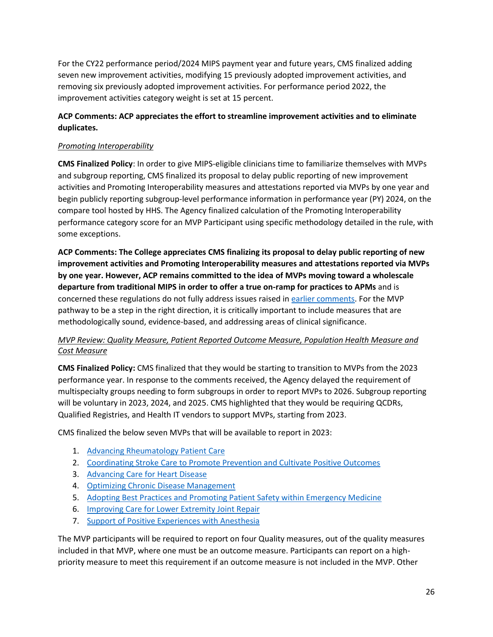For the CY22 performance period/2024 MIPS payment year and future years, CMS finalized adding seven new improvement activities, modifying 15 previously adopted improvement activities, and removing six previously adopted improvement activities. For performance period 2022, the improvement activities category weight is set at 15 percent.

# **ACP Comments: ACP appreciates the effort to streamline improvement activities and to eliminate duplicates.**

# *Promoting Interoperability*

**CMS Finalized Policy**: In order to give MIPS-eligible clinicians time to familiarize themselves with MVPs and subgroup reporting, CMS finalized its proposal to delay public reporting of new improvement activities and Promoting Interoperability measures and attestations reported via MVPs by one year and begin publicly reporting subgroup-level performance information in performance year (PY) 2024, on the compare tool hosted by HHS. The Agency finalized calculation of the Promoting Interoperability performance category score for an MVP Participant using specific methodology detailed in the rule, with some exceptions.

**ACP Comments: The College appreciates CMS finalizing its proposal to delay public reporting of new improvement activities and Promoting Interoperability measures and attestations reported via MVPs by one year. However, ACP remains committed to the idea of MVPs moving toward a wholescale departure from traditional MIPS in order to offer a true on-ramp for practices to APMs** and is concerned these regulations do not fully address issues raised in [earlier comments.](https://www.acponline.org/acp_policy/letters/acp_comments_on_2022_physician_fee_schedule_and_quality_payment_program_proposed_rule_sept_2021.pdf) For the MVP pathway to be a step in the right direction, it is critically important to include measures that are methodologically sound, evidence-based, and addressing areas of clinical significance.

# *MVP Review: Quality Measure, Patient Reported Outcome Measure, Population Health Measure and Cost Measure*

**CMS Finalized Policy:** CMS finalized that they would be starting to transition to MVPs from the 2023 performance year. In response to the comments received, the Agency delayed the requirement of multispecialty groups needing to form subgroups in order to report MVPs to 2026. Subgroup reporting will be voluntary in 2023, 2024, and 2025. CMS highlighted that they would be requiring QCDRs, Qualified Registries, and Health IT vendors to support MVPs, starting from 2023.

CMS finalized the below seven MVPs that will be available to report in 2023:

- 1. [Advancing Rheumatology Patient Care](https://www.federalregister.gov/d/2021-23972/page-66002)
- 2. [Coordinating Stroke Care to Promote Prevention and Cultivate Positive Outcomes](https://www.federalregister.gov/d/2021-23972/page-66007)
- 3. [Advancing Care for Heart Disease](https://www.federalregister.gov/d/2021-23972/page-66014)
- 4. [Optimizing Chronic Disease Management](https://www.federalregister.gov/d/2021-23972/page-66021)
- 5. [Adopting Best Practices and Promoting Patient Safety within Emergency Medicine](https://www.federalregister.gov/d/2021-23972/page-66024)
- 6. [Improving Care for Lower Extremity Joint Repair](https://www.federalregister.gov/d/2021-23972/page-66027)
- 7. [Support of Positive Experiences with Anesthesia](https://www.federalregister.gov/d/2021-23972/page-66030)

The MVP participants will be required to report on four Quality measures, out of the quality measures included in that MVP, where one must be an outcome measure. Participants can report on a highpriority measure to meet this requirement if an outcome measure is not included in the MVP. Other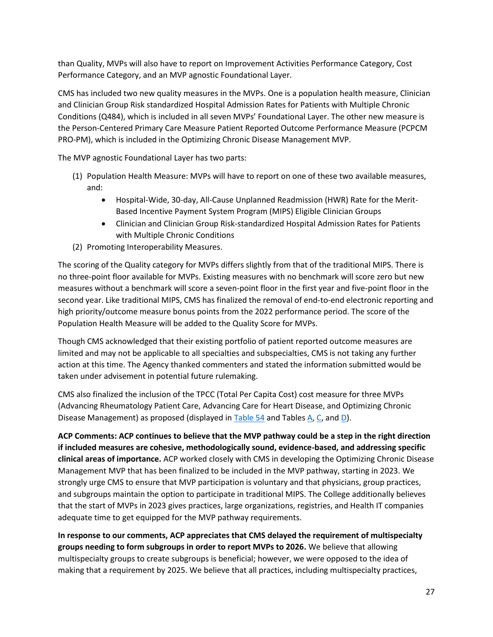than Quality, MVPs will also have to report on Improvement Activities Performance Category, Cost Performance Category, and an MVP agnostic Foundational Layer.

CMS has included two new quality measures in the MVPs. One is a population health measure, Clinician and Clinician Group Risk standardized Hospital Admission Rates for Patients with Multiple Chronic Conditions (Q484), which is included in all seven MVPs' Foundational Layer. The other new measure is the Person-Centered Primary Care Measure Patient Reported Outcome Performance Measure (PCPCM PRO-PM), which is included in the Optimizing Chronic Disease Management MVP.

The MVP agnostic Foundational Layer has two parts:

- (1) Population Health Measure: MVPs will have to report on one of these two available measures, and:
	- Hospital-Wide, 30-day, All-Cause Unplanned Readmission (HWR) Rate for the Merit-Based Incentive Payment System Program (MIPS) Eligible Clinician Groups
	- Clinician and Clinician Group Risk-standardized Hospital Admission Rates for Patients with Multiple Chronic Conditions
- (2) Promoting Interoperability Measures.

The scoring of the Quality category for MVPs differs slightly from that of the traditional MIPS. There is no three-point floor available for MVPs. Existing measures with no benchmark will score zero but new measures without a benchmark will score a seven-point floor in the first year and five-point floor in the second year. Like traditional MIPS, CMS has finalized the removal of end-to-end electronic reporting and high priority/outcome measure bonus points from the 2022 performance period. The score of the Population Health Measure will be added to the Quality Score for MVPs.

Though CMS acknowledged that their existing portfolio of patient reported outcome measures are limited and may not be applicable to all specialties and subspecialties, CMS is not taking any further action at this time. The Agency thanked commenters and stated the information submitted would be taken under advisement in potential future rulemaking.

CMS also finalized the inclusion of the TPCC (Total Per Capita Cost) cost measure for three MVPs (Advancing Rheumatology Patient Care, Advancing Care for Heart Disease, and Optimizing Chronic Disease Management) as proposed (displayed i[n Table 54](https://www.federalregister.gov/documents/2021/11/19/2021-23972/medicare-program-cy-2022-payment-policies-under-the-physician-fee-schedule-and-other-changes-to-part#page-65461) and Table[s A,](https://www.federalregister.gov/documents/2021/11/19/2021-23972/medicare-program-cy-2022-payment-policies-under-the-physician-fee-schedule-and-other-changes-to-part#page-65687) [C,](https://www.federalregister.gov/documents/2021/11/19/2021-23972/medicare-program-cy-2022-payment-policies-under-the-physician-fee-schedule-and-other-changes-to-part#page-65878) an[d D\)](https://www.federalregister.gov/documents/2021/11/19/2021-23972/medicare-program-cy-2022-payment-policies-under-the-physician-fee-schedule-and-other-changes-to-part#page-65892).

**ACP Comments: ACP continues to believe that the MVP pathway could be a step in the right direction if included measures are cohesive, methodologically sound, evidence-based, and addressing specific clinical areas of importance.** ACP worked closely with CMS in developing the Optimizing Chronic Disease Management MVP that has been finalized to be included in the MVP pathway, starting in 2023. We strongly urge CMS to ensure that MVP participation is voluntary and that physicians, group practices, and subgroups maintain the option to participate in traditional MIPS. The College additionally believes that the start of MVPs in 2023 gives practices, large organizations, registries, and Health IT companies adequate time to get equipped for the MVP pathway requirements.

**In response to our comments, ACP appreciates that CMS delayed the requirement of multispecialty groups needing to form subgroups in order to report MVPs to 2026.** We believe that allowing multispecialty groups to create subgroups is beneficial; however, we were opposed to the idea of making that a requirement by 2025. We believe that all practices, including multispecialty practices,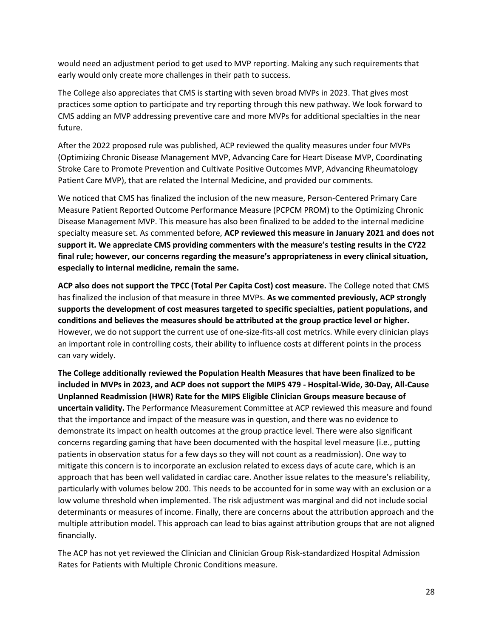would need an adjustment period to get used to MVP reporting. Making any such requirements that early would only create more challenges in their path to success.

The College also appreciates that CMS is starting with seven broad MVPs in 2023. That gives most practices some option to participate and try reporting through this new pathway. We look forward to CMS adding an MVP addressing preventive care and more MVPs for additional specialties in the near future.

After the 2022 proposed rule was published, ACP reviewed the quality measures under four MVPs (Optimizing Chronic Disease Management MVP, Advancing Care for Heart Disease MVP, Coordinating Stroke Care to Promote Prevention and Cultivate Positive Outcomes MVP, Advancing Rheumatology Patient Care MVP), that are related the Internal Medicine, and provided our comments.

We noticed that CMS has finalized the inclusion of the new measure, Person-Centered Primary Care Measure Patient Reported Outcome Performance Measure (PCPCM PROM) to the Optimizing Chronic Disease Management MVP. This measure has also been finalized to be added to the internal medicine specialty measure set. As commented before, **ACP reviewed this measure in January 2021 and does not support it. We appreciate CMS providing commenters with the measure's testing results in the CY22 final rule; however, our concerns regarding the measure's appropriateness in every clinical situation, especially to internal medicine, remain the same.**

**ACP also does not support the TPCC (Total Per Capita Cost) cost measure.** The College noted that CMS has finalized the inclusion of that measure in three MVPs. **As we commented previously, ACP strongly supports the development of cost measures targeted to specific specialties, patient populations, and conditions and believes the measures should be attributed at the group practice level or higher.** However, we do not support the current use of one-size-fits-all cost metrics. While every clinician plays an important role in controlling costs, their ability to influence costs at different points in the process can vary widely.

**The College additionally reviewed the Population Health Measures that have been finalized to be included in MVPs in 2023, and ACP does not support the MIPS 479 - Hospital-Wide, 30-Day, All-Cause Unplanned Readmission (HWR) Rate for the MIPS Eligible Clinician Groups measure because of uncertain validity.** The Performance Measurement Committee at ACP reviewed this measure and found that the importance and impact of the measure was in question, and there was no evidence to demonstrate its impact on health outcomes at the group practice level. There were also significant concerns regarding gaming that have been documented with the hospital level measure (i.e., putting patients in observation status for a few days so they will not count as a readmission). One way to mitigate this concern is to incorporate an exclusion related to excess days of acute care, which is an approach that has been well validated in cardiac care. Another issue relates to the measure's reliability, particularly with volumes below 200. This needs to be accounted for in some way with an exclusion or a low volume threshold when implemented. The risk adjustment was marginal and did not include social determinants or measures of income. Finally, there are concerns about the attribution approach and the multiple attribution model. This approach can lead to bias against attribution groups that are not aligned financially.

The ACP has not yet reviewed the Clinician and Clinician Group Risk-standardized Hospital Admission Rates for Patients with Multiple Chronic Conditions measure.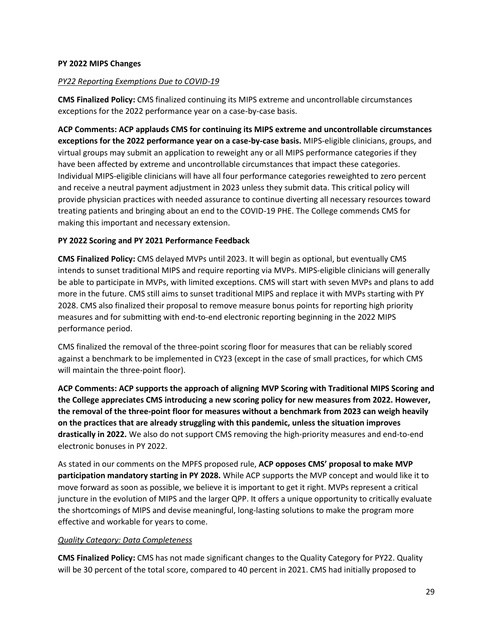### **PY 2022 MIPS Changes**

### *PY22 Reporting Exemptions Due to COVID-19*

**CMS Finalized Policy:** CMS finalized continuing its MIPS extreme and uncontrollable circumstances exceptions for the 2022 performance year on a case-by-case basis.

**ACP Comments: ACP applauds CMS for continuing its MIPS extreme and uncontrollable circumstances exceptions for the 2022 performance year on a case-by-case basis.** MIPS-eligible clinicians, groups, and virtual groups may submit an application to reweight any or all MIPS performance categories if they have been affected by extreme and uncontrollable circumstances that impact these categories. Individual MIPS-eligible clinicians will have all four performance categories reweighted to zero percent and receive a neutral payment adjustment in 2023 unless they submit data. This critical policy will provide physician practices with needed assurance to continue diverting all necessary resources toward treating patients and bringing about an end to the COVID-19 PHE. The College commends CMS for making this important and necessary extension.

# **PY 2022 Scoring and PY 2021 Performance Feedback**

**CMS Finalized Policy:** CMS delayed MVPs until 2023. It will begin as optional, but eventually CMS intends to sunset traditional MIPS and require reporting via MVPs. MIPS-eligible clinicians will generally be able to participate in MVPs, with limited exceptions. CMS will start with seven MVPs and plans to add more in the future. CMS still aims to sunset traditional MIPS and replace it with MVPs starting with PY 2028. CMS also finalized their proposal to remove measure bonus points for reporting high priority measures and for submitting with end-to-end electronic reporting beginning in the 2022 MIPS performance period.

CMS finalized the removal of the three-point scoring floor for measures that can be reliably scored against a benchmark to be implemented in CY23 (except in the case of small practices, for which CMS will maintain the three-point floor).

**ACP Comments: ACP supports the approach of aligning MVP Scoring with Traditional MIPS Scoring and the College appreciates CMS introducing a new scoring policy for new measures from 2022. However, the removal of the three-point floor for measures without a benchmark from 2023 can weigh heavily on the practices that are already struggling with this pandemic, unless the situation improves drastically in 2022.** We also do not support CMS removing the high-priority measures and end-to-end electronic bonuses in PY 2022.

As stated in our comments on the MPFS proposed rule, **ACP opposes CMS' proposal to make MVP participation mandatory starting in PY 2028.** While ACP supports the MVP concept and would like it to move forward as soon as possible, we believe it is important to get it right. MVPs represent a critical juncture in the evolution of MIPS and the larger QPP. It offers a unique opportunity to critically evaluate the shortcomings of MIPS and devise meaningful, long-lasting solutions to make the program more effective and workable for years to come.

### *Quality Category: Data Completeness*

**CMS Finalized Policy:** CMS has not made significant changes to the Quality Category for PY22. Quality will be 30 percent of the total score, compared to 40 percent in 2021. CMS had initially proposed to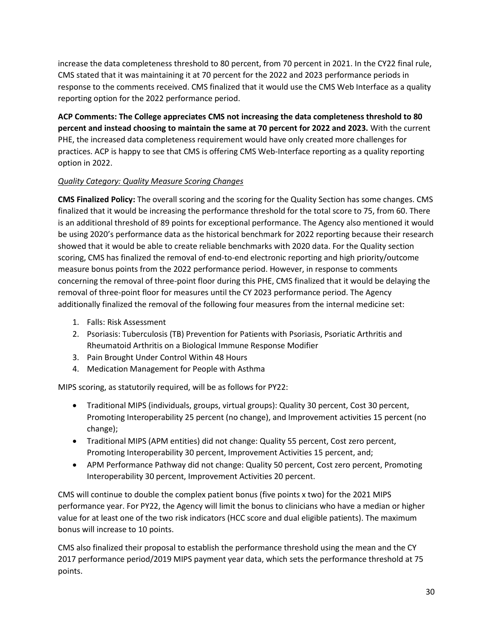increase the data completeness threshold to 80 percent, from 70 percent in 2021. In the CY22 final rule, CMS stated that it was maintaining it at 70 percent for the 2022 and 2023 performance periods in response to the comments received. CMS finalized that it would use the CMS Web Interface as a quality reporting option for the 2022 performance period.

**ACP Comments: The College appreciates CMS not increasing the data completeness threshold to 80 percent and instead choosing to maintain the same at 70 percent for 2022 and 2023.** With the current PHE, the increased data completeness requirement would have only created more challenges for practices. ACP is happy to see that CMS is offering CMS Web-Interface reporting as a quality reporting option in 2022.

# *Quality Category: Quality Measure Scoring Changes*

**CMS Finalized Policy:** The overall scoring and the scoring for the Quality Section has some changes. CMS finalized that it would be increasing the performance threshold for the total score to 75, from 60. There is an additional threshold of 89 points for exceptional performance. The Agency also mentioned it would be using 2020's performance data as the historical benchmark for 2022 reporting because their research showed that it would be able to create reliable benchmarks with 2020 data. For the Quality section scoring, CMS has finalized the removal of end-to-end electronic reporting and high priority/outcome measure bonus points from the 2022 performance period. However, in response to comments concerning the removal of three-point floor during this PHE, CMS finalized that it would be delaying the removal of three-point floor for measures until the CY 2023 performance period. The Agency additionally finalized the removal of the following four measures from the internal medicine set:

- 1. Falls: Risk Assessment
- 2. Psoriasis: Tuberculosis (TB) Prevention for Patients with Psoriasis, Psoriatic Arthritis and Rheumatoid Arthritis on a Biological Immune Response Modifier
- 3. Pain Brought Under Control Within 48 Hours
- 4. Medication Management for People with Asthma

MIPS scoring, as statutorily required, will be as follows for PY22:

- Traditional MIPS (individuals, groups, virtual groups): Quality 30 percent, Cost 30 percent, Promoting Interoperability 25 percent (no change), and Improvement activities 15 percent (no change);
- Traditional MIPS (APM entities) did not change: Quality 55 percent, Cost zero percent, Promoting Interoperability 30 percent, Improvement Activities 15 percent, and;
- APM Performance Pathway did not change: Quality 50 percent, Cost zero percent, Promoting Interoperability 30 percent, Improvement Activities 20 percent.

CMS will continue to double the complex patient bonus (five points x two) for the 2021 MIPS performance year. For PY22, the Agency will limit the bonus to clinicians who have a median or higher value for at least one of the two risk indicators (HCC score and dual eligible patients). The maximum bonus will increase to 10 points.

CMS also finalized their proposal to establish the performance threshold using the mean and the CY 2017 performance period/2019 MIPS payment year data, which sets the performance threshold at 75 points.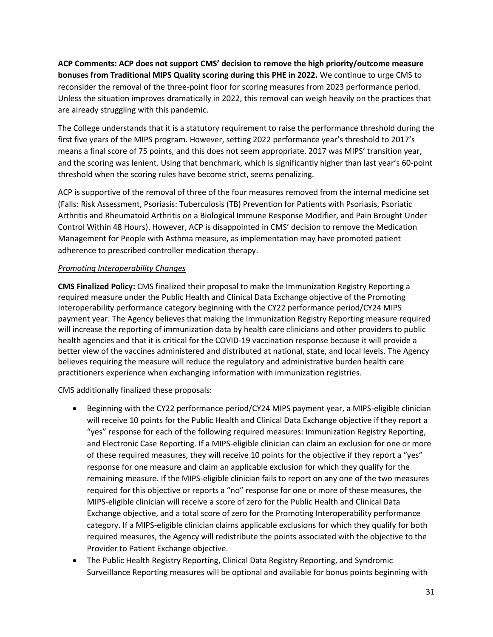**ACP Comments: ACP does not support CMS' decision to remove the high priority/outcome measure bonuses from Traditional MIPS Quality scoring during this PHE in 2022.** We continue to urge CMS to reconsider the removal of the three-point floor for scoring measures from 2023 performance period. Unless the situation improves dramatically in 2022, this removal can weigh heavily on the practices that are already struggling with this pandemic.

The College understands that it is a statutory requirement to raise the performance threshold during the first five years of the MIPS program. However, setting 2022 performance year's threshold to 2017's means a final score of 75 points, and this does not seem appropriate. 2017 was MIPS' transition year, and the scoring was lenient. Using that benchmark, which is significantly higher than last year's 60-point threshold when the scoring rules have become strict, seems penalizing.

ACP is supportive of the removal of three of the four measures removed from the internal medicine set (Falls: Risk Assessment, Psoriasis: Tuberculosis (TB) Prevention for Patients with Psoriasis, Psoriatic Arthritis and Rheumatoid Arthritis on a Biological Immune Response Modifier, and Pain Brought Under Control Within 48 Hours). However, ACP is disappointed in CMS' decision to remove the Medication Management for People with Asthma measure, as implementation may have promoted patient adherence to prescribed controller medication therapy.

### *Promoting Interoperability Changes*

**CMS Finalized Policy:** CMS finalized their proposal to make the Immunization Registry Reporting a required measure under the Public Health and Clinical Data Exchange objective of the Promoting Interoperability performance category beginning with the CY22 performance period/CY24 MIPS payment year. The Agency believes that making the Immunization Registry Reporting measure required will increase the reporting of immunization data by health care clinicians and other providers to public health agencies and that it is critical for the COVID-19 vaccination response because it will provide a better view of the vaccines administered and distributed at national, state, and local levels. The Agency believes requiring the measure will reduce the regulatory and administrative burden health care practitioners experience when exchanging information with immunization registries.

CMS additionally finalized these proposals:

- Beginning with the CY22 performance period/CY24 MIPS payment year, a MIPS-eligible clinician will receive 10 points for the Public Health and Clinical Data Exchange objective if they report a "yes" response for each of the following required measures: Immunization Registry Reporting, and Electronic Case Reporting. If a MIPS-eligible clinician can claim an exclusion for one or more of these required measures, they will receive 10 points for the objective if they report a "yes" response for one measure and claim an applicable exclusion for which they qualify for the remaining measure. If the MIPS-eligible clinician fails to report on any one of the two measures required for this objective or reports a "no" response for one or more of these measures, the MIPS-eligible clinician will receive a score of zero for the Public Health and Clinical Data Exchange objective, and a total score of zero for the Promoting Interoperability performance category. If a MIPS-eligible clinician claims applicable exclusions for which they qualify for both required measures, the Agency will redistribute the points associated with the objective to the Provider to Patient Exchange objective.
- The Public Health Registry Reporting, Clinical Data Registry Reporting, and Syndromic Surveillance Reporting measures will be optional and available for bonus points beginning with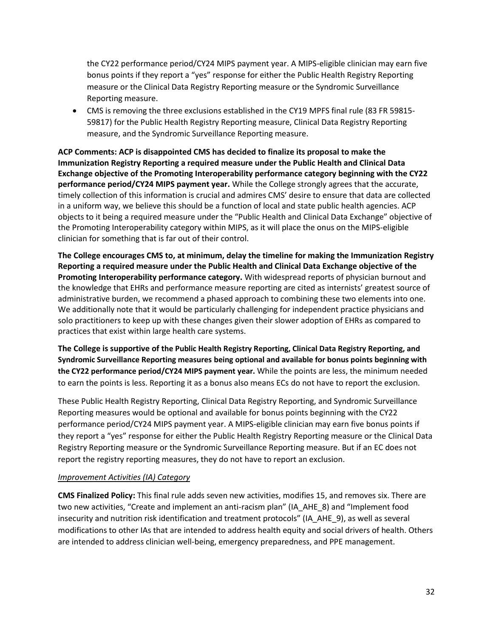the CY22 performance period/CY24 MIPS payment year. A MIPS-eligible clinician may earn five bonus points if they report a "yes" response for either the Public Health Registry Reporting measure or the Clinical Data Registry Reporting measure or the Syndromic Surveillance Reporting measure.

• CMS is removing the three exclusions established in the CY19 MPFS final rule (83 FR 59815- 59817) for the Public Health Registry Reporting measure, Clinical Data Registry Reporting measure, and the Syndromic Surveillance Reporting measure.

**ACP Comments: ACP is disappointed CMS has decided to finalize its proposal to make the Immunization Registry Reporting a required measure under the Public Health and Clinical Data Exchange objective of the Promoting Interoperability performance category beginning with the CY22 performance period/CY24 MIPS payment year.** While the College strongly agrees that the accurate, timely collection of this information is crucial and admires CMS' desire to ensure that data are collected in a uniform way, we believe this should be a function of local and state public health agencies. ACP objects to it being a required measure under the "Public Health and Clinical Data Exchange" objective of the Promoting Interoperability category within MIPS, as it will place the onus on the MIPS-eligible clinician for something that is far out of their control.

**The College encourages CMS to, at minimum, delay the timeline for making the Immunization Registry Reporting a required measure under the Public Health and Clinical Data Exchange objective of the Promoting Interoperability performance category.** With widespread reports of physician burnout and the knowledge that EHRs and performance measure reporting are cited as internists' greatest source of administrative burden, we recommend a phased approach to combining these two elements into one. We additionally note that it would be particularly challenging for independent practice physicians and solo practitioners to keep up with these changes given their slower adoption of EHRs as compared to practices that exist within large health care systems.

**The College is supportive of the Public Health Registry Reporting, Clinical Data Registry Reporting, and Syndromic Surveillance Reporting measures being optional and available for bonus points beginning with the CY22 performance period/CY24 MIPS payment year.** While the points are less, the minimum needed to earn the points is less. Reporting it as a bonus also means ECs do not have to report the exclusion.

These Public Health Registry Reporting, Clinical Data Registry Reporting, and Syndromic Surveillance Reporting measures would be optional and available for bonus points beginning with the CY22 performance period/CY24 MIPS payment year. A MIPS-eligible clinician may earn five bonus points if they report a "yes" response for either the Public Health Registry Reporting measure or the Clinical Data Registry Reporting measure or the Syndromic Surveillance Reporting measure. But if an EC does not report the registry reporting measures, they do not have to report an exclusion.

### *Improvement Activities (IA) Category*

**CMS Finalized Policy:** This final rule adds seven new activities, modifies 15, and removes six. There are two new activities, "Create and implement an anti-racism plan" (IA\_AHE\_8) and "Implement food insecurity and nutrition risk identification and treatment protocols" (IA\_AHE\_9), as well as several modifications to other IAs that are intended to address health equity and social drivers of health. Others are intended to address clinician well-being, emergency preparedness, and PPE management.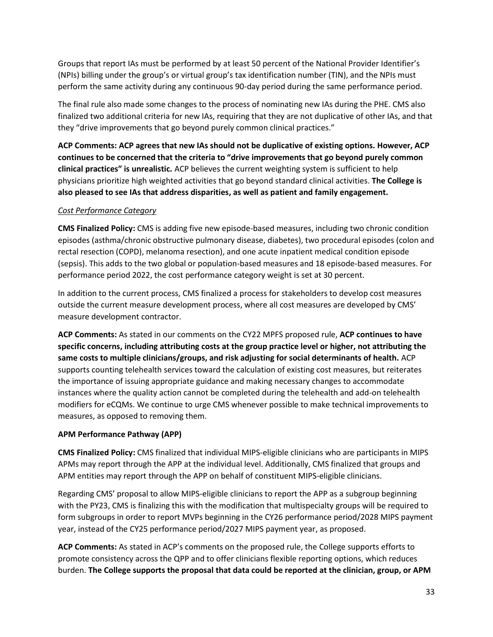Groups that report IAs must be performed by at least 50 percent of the National Provider Identifier's (NPIs) billing under the group's or virtual group's tax identification number (TIN), and the NPIs must perform the same activity during any continuous 90-day period during the same performance period.

The final rule also made some changes to the process of nominating new IAs during the PHE. CMS also finalized two additional criteria for new IAs, requiring that they are not duplicative of other IAs, and that they "drive improvements that go beyond purely common clinical practices."

**ACP Comments: ACP agrees that new IAs should not be duplicative of existing options. However, ACP continues to be concerned that the criteria to "drive improvements that go beyond purely common clinical practices" is unrealistic.** ACP believes the current weighting system is sufficient to help physicians prioritize high weighted activities that go beyond standard clinical activities. **The College is also pleased to see IAs that address disparities, as well as patient and family engagement.**

# *Cost Performance Category*

**CMS Finalized Policy:** CMS is adding five new episode-based measures, including two chronic condition episodes (asthma/chronic obstructive pulmonary disease, diabetes), two procedural episodes (colon and rectal resection (COPD), melanoma resection), and one acute inpatient medical condition episode (sepsis). This adds to the two global or population-based measures and 18 episode-based measures. For performance period 2022, the cost performance category weight is set at 30 percent.

In addition to the current process, CMS finalized a process for stakeholders to develop cost measures outside the current measure development process, where all cost measures are developed by CMS' measure development contractor.

**ACP Comments:** As stated in our comments on the CY22 MPFS proposed rule, **ACP continues to have specific concerns, including attributing costs at the group practice level or higher, not attributing the same costs to multiple clinicians/groups, and risk adjusting for social determinants of health.** ACP supports counting telehealth services toward the calculation of existing cost measures, but reiterates the importance of issuing appropriate guidance and making necessary changes to accommodate instances where the quality action cannot be completed during the telehealth and add-on telehealth modifiers for eCQMs. We continue to urge CMS whenever possible to make technical improvements to measures, as opposed to removing them.

# **APM Performance Pathway (APP)**

**CMS Finalized Policy:** CMS finalized that individual MIPS-eligible clinicians who are participants in MIPS APMs may report through the APP at the individual level. Additionally, CMS finalized that groups and APM entities may report through the APP on behalf of constituent MIPS-eligible clinicians.

Regarding CMS' proposal to allow MIPS-eligible clinicians to report the APP as a subgroup beginning with the PY23, CMS is finalizing this with the modification that multispecialty groups will be required to form subgroups in order to report MVPs beginning in the CY26 performance period/2028 MIPS payment year, instead of the CY25 performance period/2027 MIPS payment year, as proposed.

**ACP Comments:** As stated in ACP's comments on the proposed rule, the College supports efforts to promote consistency across the QPP and to offer clinicians flexible reporting options, which reduces burden. **The College supports the proposal that data could be reported at the clinician, group, or APM**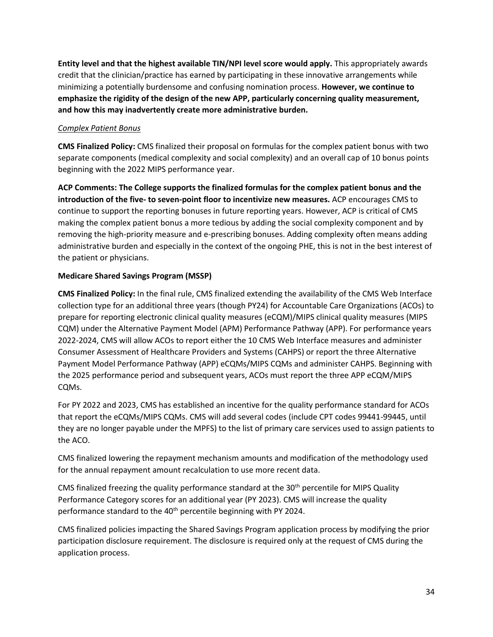**Entity level and that the highest available TIN/NPI level score would apply.** This appropriately awards credit that the clinician/practice has earned by participating in these innovative arrangements while minimizing a potentially burdensome and confusing nomination process. **However, we continue to emphasize the rigidity of the design of the new APP, particularly concerning quality measurement, and how this may inadvertently create more administrative burden.**

### *Complex Patient Bonus*

**CMS Finalized Policy:** CMS finalized their proposal on formulas for the complex patient bonus with two separate components (medical complexity and social complexity) and an overall cap of 10 bonus points beginning with the 2022 MIPS performance year.

**ACP Comments: The College supports the finalized formulas for the complex patient bonus and the introduction of the five- to seven-point floor to incentivize new measures.** ACP encourages CMS to continue to support the reporting bonuses in future reporting years. However, ACP is critical of CMS making the complex patient bonus a more tedious by adding the social complexity component and by removing the high-priority measure and e-prescribing bonuses. Adding complexity often means adding administrative burden and especially in the context of the ongoing PHE, this is not in the best interest of the patient or physicians.

# **Medicare Shared Savings Program (MSSP)**

**CMS Finalized Policy:** In the final rule, CMS finalized extending the availability of the CMS Web Interface collection type for an additional three years (though PY24) for Accountable Care Organizations (ACOs) to prepare for reporting electronic clinical quality measures (eCQM)/MIPS clinical quality measures (MIPS CQM) under the Alternative Payment Model (APM) Performance Pathway (APP). For performance years 2022-2024, CMS will allow ACOs to report either the 10 CMS Web Interface measures and administer Consumer Assessment of Healthcare Providers and Systems (CAHPS) or report the three Alternative Payment Model Performance Pathway (APP) eCQMs/MIPS CQMs and administer CAHPS. Beginning with the 2025 performance period and subsequent years, ACOs must report the three APP eCQM/MIPS CQMs.

For PY 2022 and 2023, CMS has established an incentive for the quality performance standard for ACOs that report the eCQMs/MIPS CQMs. CMS will add several codes (include CPT codes 99441-99445, until they are no longer payable under the MPFS) to the list of primary care services used to assign patients to the ACO.

CMS finalized lowering the repayment mechanism amounts and modification of the methodology used for the annual repayment amount recalculation to use more recent data.

CMS finalized freezing the quality performance standard at the 30<sup>th</sup> percentile for MIPS Quality Performance Category scores for an additional year (PY 2023). CMS will increase the quality performance standard to the 40<sup>th</sup> percentile beginning with PY 2024.

CMS finalized policies impacting the Shared Savings Program application process by modifying the prior participation disclosure requirement. The disclosure is required only at the request of CMS during the application process.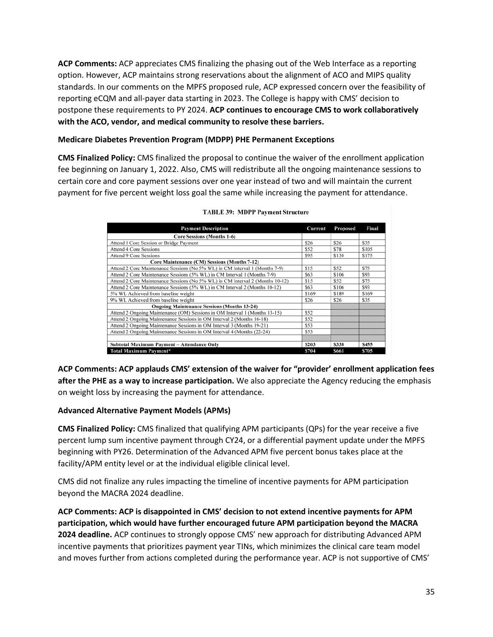**ACP Comments:** ACP appreciates CMS finalizing the phasing out of the Web Interface as a reporting option. However, ACP maintains strong reservations about the alignment of ACO and MIPS quality standards. In our comments on the MPFS proposed rule, ACP expressed concern over the feasibility of reporting eCQM and all-payer data starting in 2023. The College is happy with CMS' decision to postpone these requirements to PY 2024. **ACP continues to encourage CMS to work collaboratively with the ACO, vendor, and medical community to resolve these barriers.** 

### **Medicare Diabetes Prevention Program (MDPP) PHE Permanent Exceptions**

**CMS Finalized Policy:** CMS finalized the proposal to continue the waiver of the enrollment application fee beginning on January 1, 2022. Also, CMS will redistribute all the ongoing maintenance sessions to certain core and core payment sessions over one year instead of two and will maintain the current payment for five percent weight loss goal the same while increasing the payment for attendance.

| <b>Payment Description</b>                                                    | Current | Proposed | Final |
|-------------------------------------------------------------------------------|---------|----------|-------|
| <b>Core Sessions (Months 1-6)</b>                                             |         |          |       |
| Attend 1 Core Session or Bridge Payment                                       | \$26    | \$26     | \$35  |
| Attend 4 Core Sessions                                                        | \$52    | \$78     | \$105 |
| <b>Attend 9 Core Sessions</b>                                                 | \$95    | \$130    | \$175 |
| Core Maintenance (CM) Sessions (Months 7-12)                                  |         |          |       |
| Attend 2 Core Maintenance Sessions (No 5% WL) in CM Interval 1 (Months 7-9)   | \$15    | \$52     | \$75  |
| Attend 2 Core Maintenance Sessions (5% WL) in CM Interval 1 (Months 7-9)      | \$63    | \$106    | \$93  |
| Attend 2 Core Maintenance Sessions (No 5% WL) in CM Interval 2 (Months 10-12) | \$15    | \$52     | \$75  |
| Attend 2 Core Maintenance Sessions (5% WL) in CM Interval 2 (Months 10-12)    | \$63    | \$106    | \$93  |
| 5% WL Achieved from baseline weight                                           | \$169   | \$189    | \$169 |
| 9% WL Achieved from baseline weight                                           | \$26    | \$26     | \$35  |
| <b>Ongoing Maintenance Sessions (Months 13-24)</b>                            |         |          |       |
| Attend 2 Ongoing Maintenance (OM) Sessions in OM Interval 1 (Months 13-15)    | \$52    |          |       |
| Attend 2 Ongoing Maintenance Sessions in OM Interval 2 (Months 16-18)         | \$52    |          |       |
| Attend 2 Ongoing Maintenance Sessions in OM Interval 3 (Months 19-21)         | \$53    |          |       |
| Attend 2 Ongoing Maintenance Sessions in OM Interval 4 (Months (22-24)        | \$53    |          |       |
|                                                                               |         |          |       |
| Subtotal Maximum Payment - Attendance Only                                    | \$203   | \$338    | \$455 |
| Total Maximum Payment*                                                        | S704    | \$661    | \$705 |

| <b>TABLE 39: MDPP Payment Structur</b> |  |  |
|----------------------------------------|--|--|

**ACP Comments: ACP applauds CMS' extension of the waiver for "provider' enrollment application fees after the PHE as a way to increase participation.** We also appreciate the Agency reducing the emphasis on weight loss by increasing the payment for attendance.

### **Advanced Alternative Payment Models (APMs)**

**CMS Finalized Policy:** CMS finalized that qualifying APM participants (QPs) for the year receive a five percent lump sum incentive payment through CY24, or a differential payment update under the MPFS beginning with PY26. Determination of the Advanced APM five percent bonus takes place at the facility/APM entity level or at the individual eligible clinical level.

CMS did not finalize any rules impacting the timeline of incentive payments for APM participation beyond the MACRA 2024 deadline.

**ACP Comments: ACP is disappointed in CMS' decision to not extend incentive payments for APM participation, which would have further encouraged future APM participation beyond the MACRA 2024 deadline.** ACP continues to strongly oppose CMS' new approach for distributing Advanced APM incentive payments that prioritizes payment year TINs, which minimizes the clinical care team model and moves further from actions completed during the performance year. ACP is not supportive of CMS'